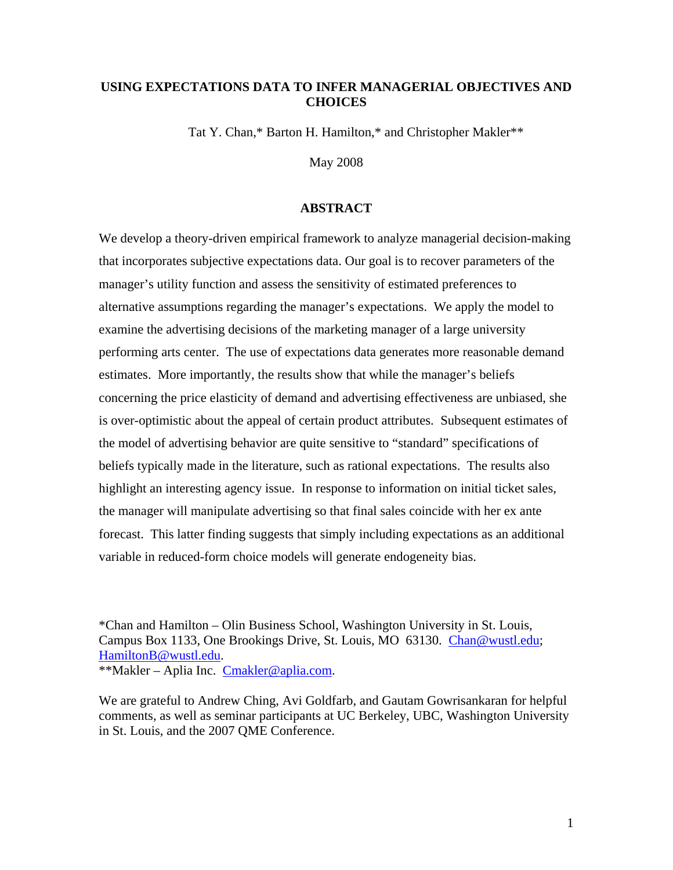# **USING EXPECTATIONS DATA TO INFER MANAGERIAL OBJECTIVES AND CHOICES**

Tat Y. Chan,\* Barton H. Hamilton,\* and Christopher Makler\*\*

May 2008

# **ABSTRACT**

We develop a theory-driven empirical framework to analyze managerial decision-making that incorporates subjective expectations data. Our goal is to recover parameters of the manager's utility function and assess the sensitivity of estimated preferences to alternative assumptions regarding the manager's expectations. We apply the model to examine the advertising decisions of the marketing manager of a large university performing arts center. The use of expectations data generates more reasonable demand estimates. More importantly, the results show that while the manager's beliefs concerning the price elasticity of demand and advertising effectiveness are unbiased, she is over-optimistic about the appeal of certain product attributes. Subsequent estimates of the model of advertising behavior are quite sensitive to "standard" specifications of beliefs typically made in the literature, such as rational expectations. The results also highlight an interesting agency issue. In response to information on initial ticket sales, the manager will manipulate advertising so that final sales coincide with her ex ante forecast. This latter finding suggests that simply including expectations as an additional variable in reduced-form choice models will generate endogeneity bias.

\*Chan and Hamilton – Olin Business School, Washington University in St. Louis, Campus Box 1133, One Brookings Drive, St. Louis, MO 63130. Chan@wustl.edu; HamiltonB@wustl.edu.

\*\*Makler – Aplia Inc. Cmakler@aplia.com.

We are grateful to Andrew Ching, Avi Goldfarb, and Gautam Gowrisankaran for helpful comments, as well as seminar participants at UC Berkeley, UBC, Washington University in St. Louis, and the 2007 QME Conference.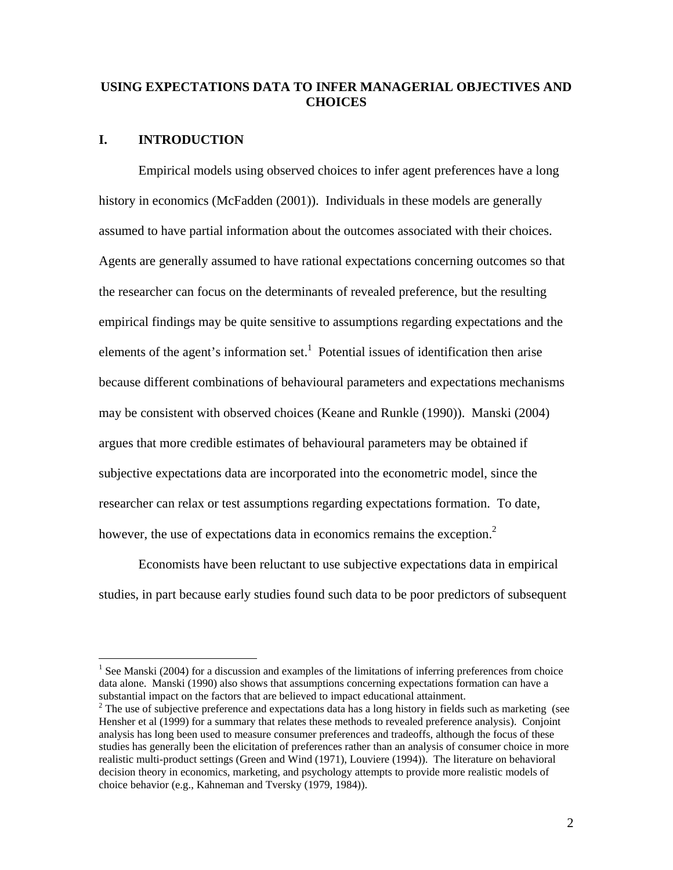# **USING EXPECTATIONS DATA TO INFER MANAGERIAL OBJECTIVES AND CHOICES**

# **I. INTRODUCTION**

 $\overline{a}$ 

Empirical models using observed choices to infer agent preferences have a long history in economics (McFadden (2001)). Individuals in these models are generally assumed to have partial information about the outcomes associated with their choices. Agents are generally assumed to have rational expectations concerning outcomes so that the researcher can focus on the determinants of revealed preference, but the resulting empirical findings may be quite sensitive to assumptions regarding expectations and the elements of the agent's information set.<sup>1</sup> Potential issues of identification then arise because different combinations of behavioural parameters and expectations mechanisms may be consistent with observed choices (Keane and Runkle (1990)). Manski (2004) argues that more credible estimates of behavioural parameters may be obtained if subjective expectations data are incorporated into the econometric model, since the researcher can relax or test assumptions regarding expectations formation. To date, however, the use of expectations data in economics remains the exception.<sup>2</sup>

Economists have been reluctant to use subjective expectations data in empirical studies, in part because early studies found such data to be poor predictors of subsequent

<sup>&</sup>lt;sup>1</sup> See Manski (2004) for a discussion and examples of the limitations of inferring preferences from choice data alone. Manski (1990) also shows that assumptions concerning expectations formation can have a substantial impact on the factors that are believed to impact educational attainment. <sup>2</sup>

<sup>&</sup>lt;sup>2</sup> The use of subjective preference and expectations data has a long history in fields such as marketing (see Hensher et al (1999) for a summary that relates these methods to revealed preference analysis). Conjoint analysis has long been used to measure consumer preferences and tradeoffs, although the focus of these studies has generally been the elicitation of preferences rather than an analysis of consumer choice in more realistic multi-product settings (Green and Wind (1971), Louviere (1994)). The literature on behavioral decision theory in economics, marketing, and psychology attempts to provide more realistic models of choice behavior (e.g., Kahneman and Tversky (1979, 1984)).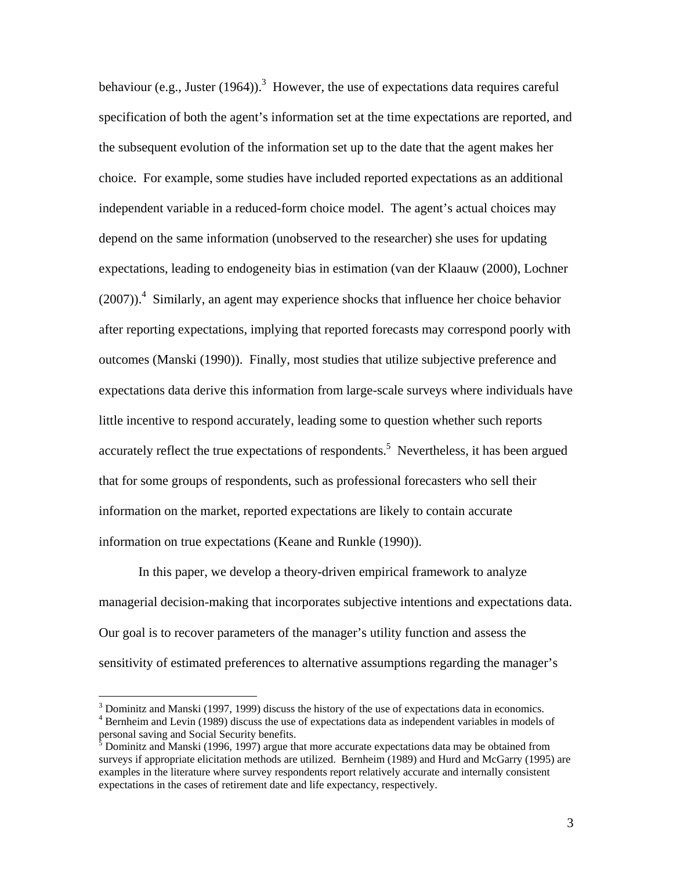behaviour (e.g., Juster (1964)).<sup>3</sup> However, the use of expectations data requires careful specification of both the agent's information set at the time expectations are reported, and the subsequent evolution of the information set up to the date that the agent makes her choice. For example, some studies have included reported expectations as an additional independent variable in a reduced-form choice model. The agent's actual choices may depend on the same information (unobserved to the researcher) she uses for updating expectations, leading to endogeneity bias in estimation (van der Klaauw (2000), Lochner  $(2007)$ .<sup>4</sup> Similarly, an agent may experience shocks that influence her choice behavior after reporting expectations, implying that reported forecasts may correspond poorly with outcomes (Manski (1990)). Finally, most studies that utilize subjective preference and expectations data derive this information from large-scale surveys where individuals have little incentive to respond accurately, leading some to question whether such reports accurately reflect the true expectations of respondents.<sup>5</sup> Nevertheless, it has been argued that for some groups of respondents, such as professional forecasters who sell their information on the market, reported expectations are likely to contain accurate information on true expectations (Keane and Runkle (1990)).

In this paper, we develop a theory-driven empirical framework to analyze managerial decision-making that incorporates subjective intentions and expectations data. Our goal is to recover parameters of the manager's utility function and assess the sensitivity of estimated preferences to alternative assumptions regarding the manager's

<u>.</u>

 $\frac{3}{4}$  Dominitz and Manski (1997, 1999) discuss the history of the use of expectations data in economics.<br> $\frac{4}{4}$  Bernhaim and Lavin (1080) discuss the use of expectations data as independent variables in models. <sup>4</sup> Bernheim and Levin (1989) discuss the use of expectations data as independent variables in models of personal saving and Social Security benefits.<br><sup>5</sup> Dominitz and Manski (1996, 1997) argue that more accurate expectations data may be obtained from

surveys if appropriate elicitation methods are utilized. Bernheim (1989) and Hurd and McGarry (1995) are examples in the literature where survey respondents report relatively accurate and internally consistent expectations in the cases of retirement date and life expectancy, respectively.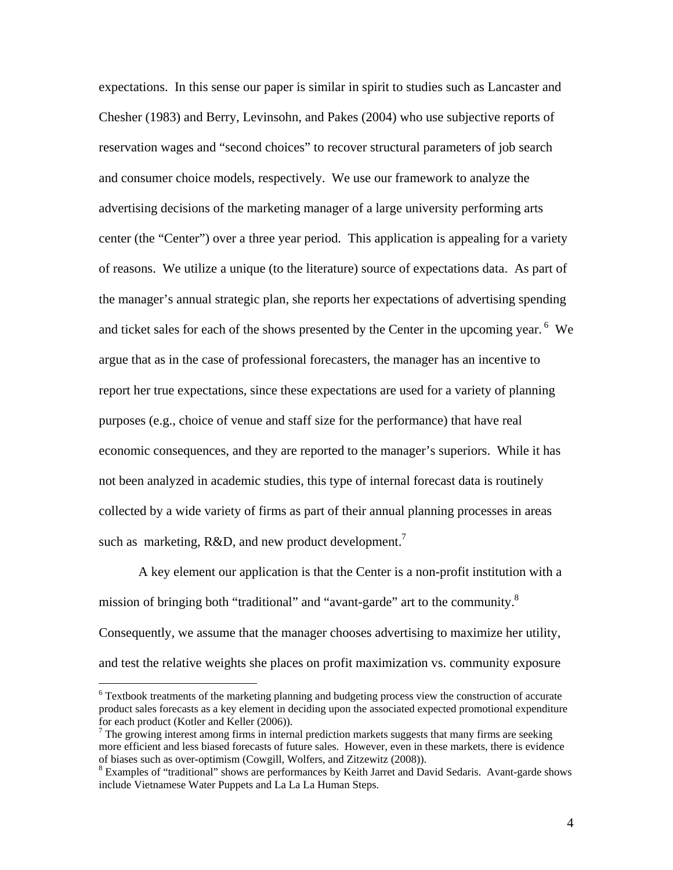expectations. In this sense our paper is similar in spirit to studies such as Lancaster and Chesher (1983) and Berry, Levinsohn, and Pakes (2004) who use subjective reports of reservation wages and "second choices" to recover structural parameters of job search and consumer choice models, respectively. We use our framework to analyze the advertising decisions of the marketing manager of a large university performing arts center (the "Center") over a three year period. This application is appealing for a variety of reasons. We utilize a unique (to the literature) source of expectations data. As part of the manager's annual strategic plan, she reports her expectations of advertising spending and ticket sales for each of the shows presented by the Center in the upcoming year.  $6\,$  We argue that as in the case of professional forecasters, the manager has an incentive to report her true expectations, since these expectations are used for a variety of planning purposes (e.g., choice of venue and staff size for the performance) that have real economic consequences, and they are reported to the manager's superiors. While it has not been analyzed in academic studies, this type of internal forecast data is routinely collected by a wide variety of firms as part of their annual planning processes in areas such as marketing,  $R&D$ , and new product development.<sup>7</sup>

A key element our application is that the Center is a non-profit institution with a mission of bringing both "traditional" and "avant-garde" art to the community.<sup>8</sup> Consequently, we assume that the manager chooses advertising to maximize her utility, and test the relative weights she places on profit maximization vs. community exposure

<sup>&</sup>lt;sup>6</sup> Textbook treatments of the marketing planning and budgeting process view the construction of accurate product sales forecasts as a key element in deciding upon the associated expected promotional expenditure for each product (Kotler and Keller (2006)).

 $\frac{7}{1}$  The growing interest among firms in internal prediction markets suggests that many firms are seeking more efficient and less biased forecasts of future sales. However, even in these markets, there is evidence of biases such as over-optimism (Cowgill, Wolfers, and Zitzewitz (2008)). 8

<sup>&</sup>lt;sup>8</sup> Examples of "traditional" shows are performances by Keith Jarret and David Sedaris. Avant-garde shows include Vietnamese Water Puppets and La La La Human Steps.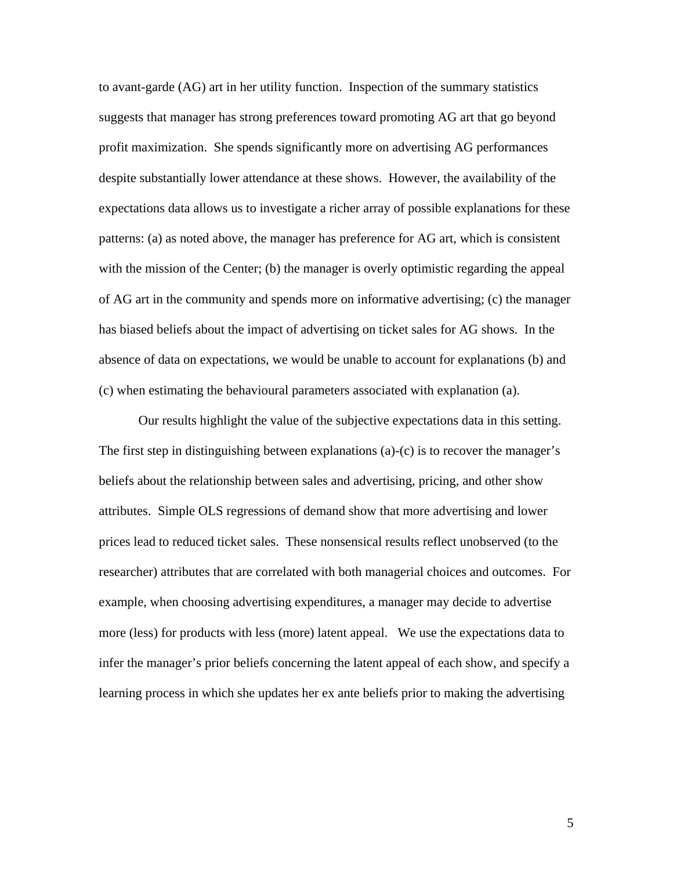to avant-garde (AG) art in her utility function. Inspection of the summary statistics suggests that manager has strong preferences toward promoting AG art that go beyond profit maximization. She spends significantly more on advertising AG performances despite substantially lower attendance at these shows. However, the availability of the expectations data allows us to investigate a richer array of possible explanations for these patterns: (a) as noted above, the manager has preference for AG art, which is consistent with the mission of the Center; (b) the manager is overly optimistic regarding the appeal of AG art in the community and spends more on informative advertising; (c) the manager has biased beliefs about the impact of advertising on ticket sales for AG shows. In the absence of data on expectations, we would be unable to account for explanations (b) and (c) when estimating the behavioural parameters associated with explanation (a).

Our results highlight the value of the subjective expectations data in this setting. The first step in distinguishing between explanations (a)-(c) is to recover the manager's beliefs about the relationship between sales and advertising, pricing, and other show attributes. Simple OLS regressions of demand show that more advertising and lower prices lead to reduced ticket sales. These nonsensical results reflect unobserved (to the researcher) attributes that are correlated with both managerial choices and outcomes. For example, when choosing advertising expenditures, a manager may decide to advertise more (less) for products with less (more) latent appeal. We use the expectations data to infer the manager's prior beliefs concerning the latent appeal of each show, and specify a learning process in which she updates her ex ante beliefs prior to making the advertising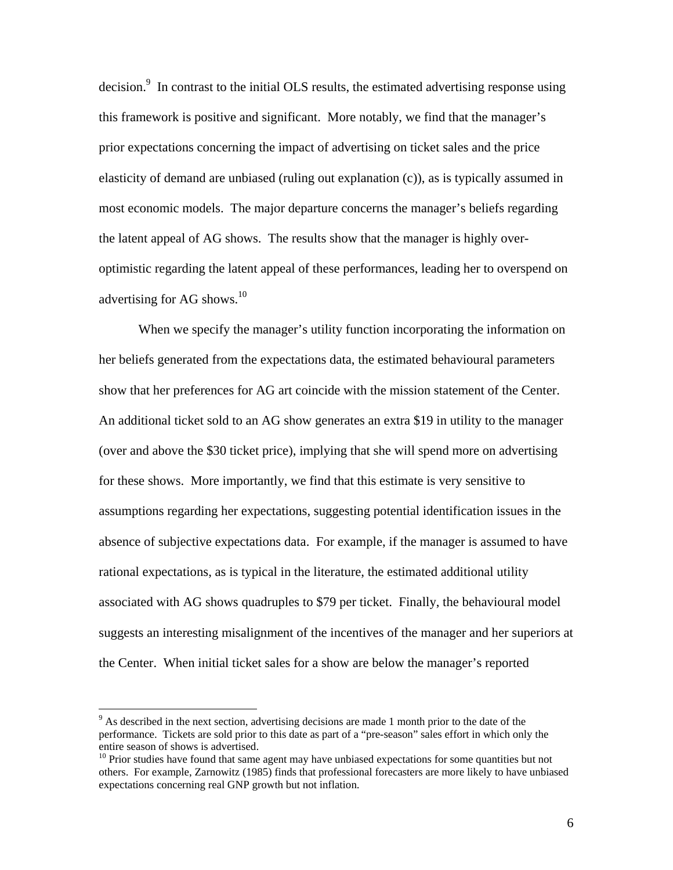decision. $\degree$  In contrast to the initial OLS results, the estimated advertising response using this framework is positive and significant. More notably, we find that the manager's prior expectations concerning the impact of advertising on ticket sales and the price elasticity of demand are unbiased (ruling out explanation (c)), as is typically assumed in most economic models. The major departure concerns the manager's beliefs regarding the latent appeal of AG shows. The results show that the manager is highly overoptimistic regarding the latent appeal of these performances, leading her to overspend on advertising for AG shows. $^{10}$ 

When we specify the manager's utility function incorporating the information on her beliefs generated from the expectations data, the estimated behavioural parameters show that her preferences for AG art coincide with the mission statement of the Center. An additional ticket sold to an AG show generates an extra \$19 in utility to the manager (over and above the \$30 ticket price), implying that she will spend more on advertising for these shows. More importantly, we find that this estimate is very sensitive to assumptions regarding her expectations, suggesting potential identification issues in the absence of subjective expectations data. For example, if the manager is assumed to have rational expectations, as is typical in the literature, the estimated additional utility associated with AG shows quadruples to \$79 per ticket. Finally, the behavioural model suggests an interesting misalignment of the incentives of the manager and her superiors at the Center. When initial ticket sales for a show are below the manager's reported

 $9<sup>9</sup>$  As described in the next section, advertising decisions are made 1 month prior to the date of the performance. Tickets are sold prior to this date as part of a "pre-season" sales effort in which only the entire season of shows is advertised.<br> $10$  Prior studies have found that same agent may have unbiased expectations for some quantities but not

others. For example, Zarnowitz (1985) finds that professional forecasters are more likely to have unbiased expectations concerning real GNP growth but not inflation.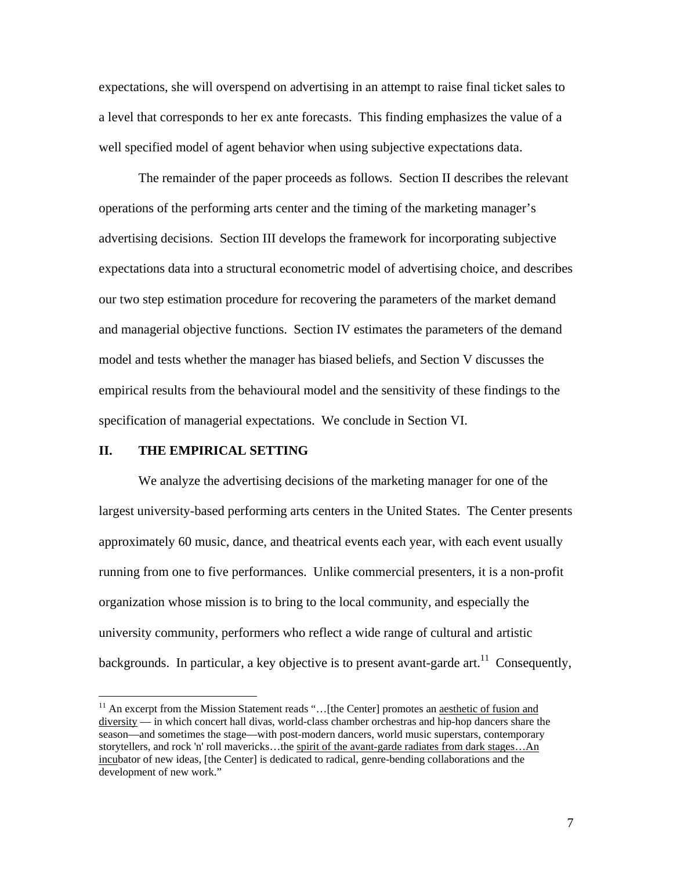expectations, she will overspend on advertising in an attempt to raise final ticket sales to a level that corresponds to her ex ante forecasts. This finding emphasizes the value of a well specified model of agent behavior when using subjective expectations data.

The remainder of the paper proceeds as follows. Section II describes the relevant operations of the performing arts center and the timing of the marketing manager's advertising decisions. Section III develops the framework for incorporating subjective expectations data into a structural econometric model of advertising choice, and describes our two step estimation procedure for recovering the parameters of the market demand and managerial objective functions. Section IV estimates the parameters of the demand model and tests whether the manager has biased beliefs, and Section V discusses the empirical results from the behavioural model and the sensitivity of these findings to the specification of managerial expectations. We conclude in Section VI.

#### **II. THE EMPIRICAL SETTING**

<u>.</u>

We analyze the advertising decisions of the marketing manager for one of the largest university-based performing arts centers in the United States. The Center presents approximately 60 music, dance, and theatrical events each year, with each event usually running from one to five performances. Unlike commercial presenters, it is a non-profit organization whose mission is to bring to the local community, and especially the university community, performers who reflect a wide range of cultural and artistic backgrounds. In particular, a key objective is to present avant-garde  $art.<sup>11</sup>$  Consequently,

<sup>&</sup>lt;sup>11</sup> An excerpt from the Mission Statement reads "...[the Center] promotes an aesthetic of fusion and diversity — in which concert hall divas, world-class chamber orchestras and hip-hop dancers share the season—and sometimes the stage—with post-modern dancers, world music superstars, contemporary storytellers, and rock 'n' roll mavericks...the spirit of the avant-garde radiates from dark stages...An incubator of new ideas, [the Center] is dedicated to radical, genre-bending collaborations and the development of new work."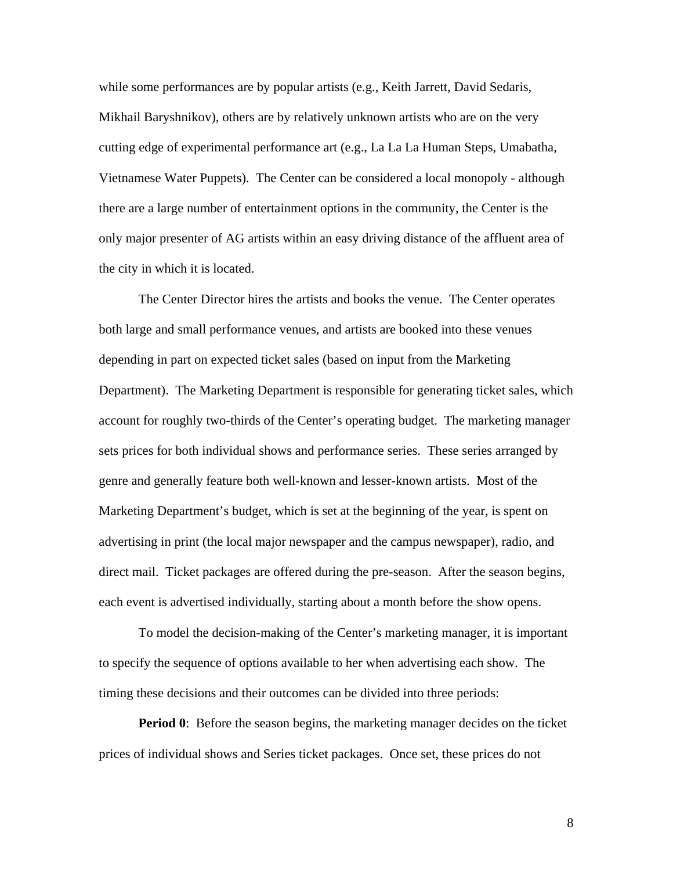while some performances are by popular artists (e.g., Keith Jarrett, David Sedaris, Mikhail Baryshnikov), others are by relatively unknown artists who are on the very cutting edge of experimental performance art (e.g., La La La Human Steps, Umabatha, Vietnamese Water Puppets). The Center can be considered a local monopoly - although there are a large number of entertainment options in the community, the Center is the only major presenter of AG artists within an easy driving distance of the affluent area of the city in which it is located.

The Center Director hires the artists and books the venue. The Center operates both large and small performance venues, and artists are booked into these venues depending in part on expected ticket sales (based on input from the Marketing Department). The Marketing Department is responsible for generating ticket sales, which account for roughly two-thirds of the Center's operating budget. The marketing manager sets prices for both individual shows and performance series. These series arranged by genre and generally feature both well-known and lesser-known artists. Most of the Marketing Department's budget, which is set at the beginning of the year, is spent on advertising in print (the local major newspaper and the campus newspaper), radio, and direct mail. Ticket packages are offered during the pre-season. After the season begins, each event is advertised individually, starting about a month before the show opens.

To model the decision-making of the Center's marketing manager, it is important to specify the sequence of options available to her when advertising each show. The timing these decisions and their outcomes can be divided into three periods:

**Period 0**: Before the season begins, the marketing manager decides on the ticket prices of individual shows and Series ticket packages. Once set, these prices do not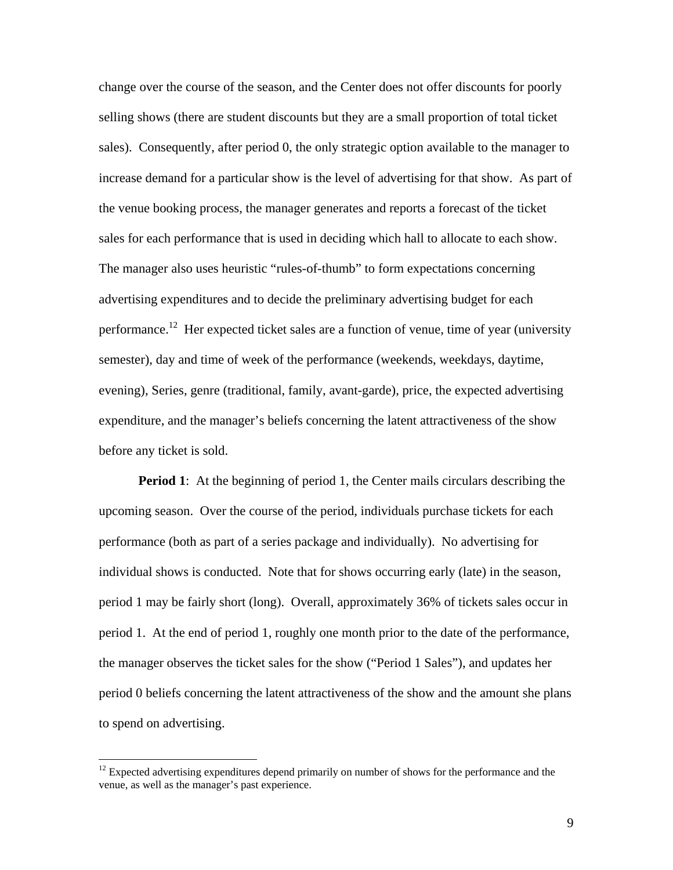change over the course of the season, and the Center does not offer discounts for poorly selling shows (there are student discounts but they are a small proportion of total ticket sales). Consequently, after period 0, the only strategic option available to the manager to increase demand for a particular show is the level of advertising for that show. As part of the venue booking process, the manager generates and reports a forecast of the ticket sales for each performance that is used in deciding which hall to allocate to each show. The manager also uses heuristic "rules-of-thumb" to form expectations concerning advertising expenditures and to decide the preliminary advertising budget for each performance.<sup>12</sup> Her expected ticket sales are a function of venue, time of year (university semester), day and time of week of the performance (weekends, weekdays, daytime, evening), Series, genre (traditional, family, avant-garde), price, the expected advertising expenditure, and the manager's beliefs concerning the latent attractiveness of the show before any ticket is sold.

**Period 1**: At the beginning of period 1, the Center mails circulars describing the upcoming season. Over the course of the period, individuals purchase tickets for each performance (both as part of a series package and individually). No advertising for individual shows is conducted. Note that for shows occurring early (late) in the season, period 1 may be fairly short (long). Overall, approximately 36% of tickets sales occur in period 1. At the end of period 1, roughly one month prior to the date of the performance, the manager observes the ticket sales for the show ("Period 1 Sales"), and updates her period 0 beliefs concerning the latent attractiveness of the show and the amount she plans to spend on advertising.

<sup>&</sup>lt;sup>12</sup> Expected advertising expenditures depend primarily on number of shows for the performance and the venue, as well as the manager's past experience.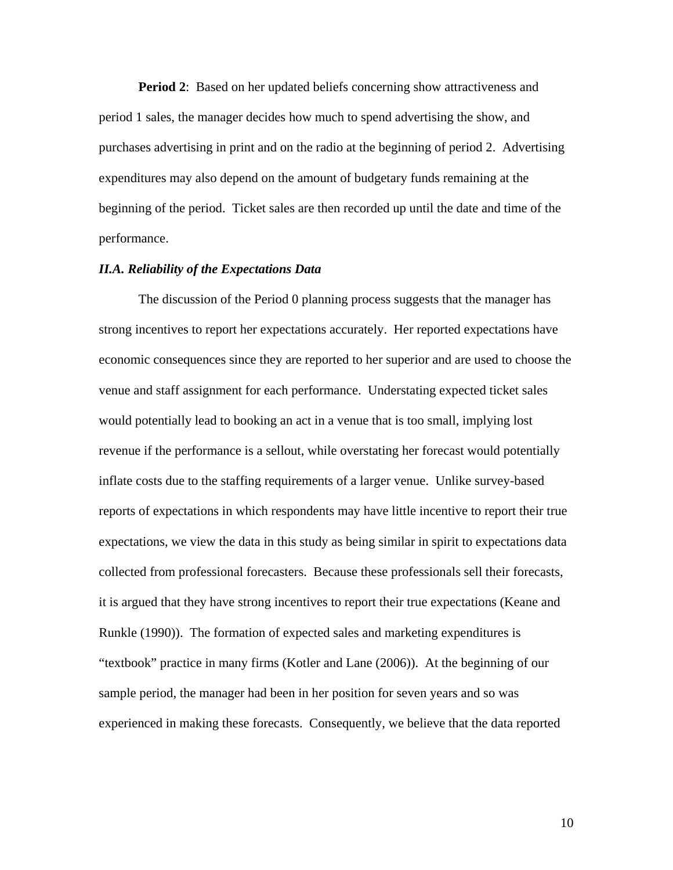**Period 2:** Based on her updated beliefs concerning show attractiveness and period 1 sales, the manager decides how much to spend advertising the show, and purchases advertising in print and on the radio at the beginning of period 2. Advertising expenditures may also depend on the amount of budgetary funds remaining at the beginning of the period. Ticket sales are then recorded up until the date and time of the performance.

### *II.A. Reliability of the Expectations Data*

The discussion of the Period 0 planning process suggests that the manager has strong incentives to report her expectations accurately. Her reported expectations have economic consequences since they are reported to her superior and are used to choose the venue and staff assignment for each performance. Understating expected ticket sales would potentially lead to booking an act in a venue that is too small, implying lost revenue if the performance is a sellout, while overstating her forecast would potentially inflate costs due to the staffing requirements of a larger venue. Unlike survey-based reports of expectations in which respondents may have little incentive to report their true expectations, we view the data in this study as being similar in spirit to expectations data collected from professional forecasters. Because these professionals sell their forecasts, it is argued that they have strong incentives to report their true expectations (Keane and Runkle (1990)). The formation of expected sales and marketing expenditures is "textbook" practice in many firms (Kotler and Lane (2006)). At the beginning of our sample period, the manager had been in her position for seven years and so was experienced in making these forecasts. Consequently, we believe that the data reported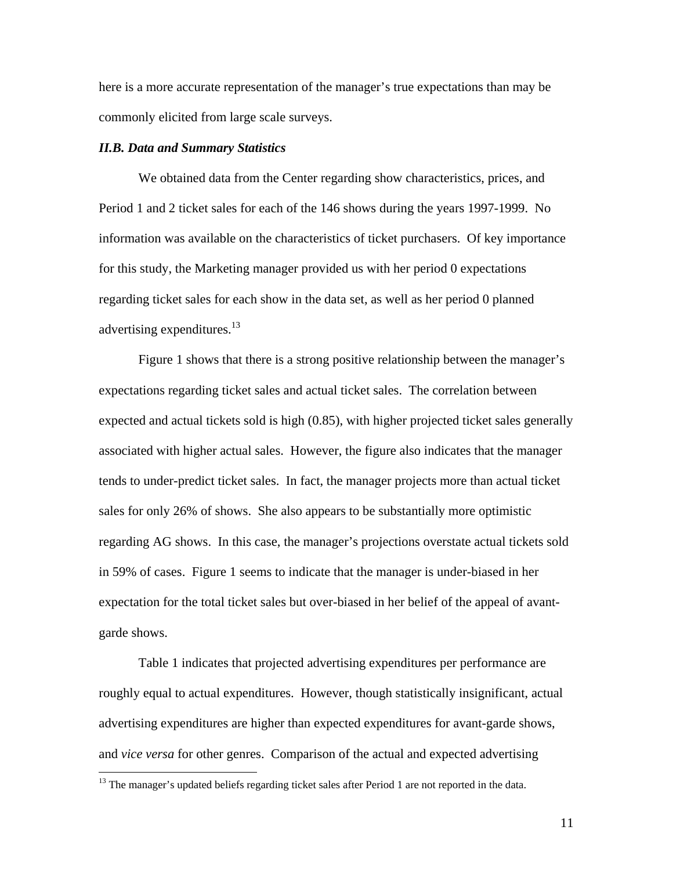here is a more accurate representation of the manager's true expectations than may be commonly elicited from large scale surveys.

# *II.B. Data and Summary Statistics*

We obtained data from the Center regarding show characteristics, prices, and Period 1 and 2 ticket sales for each of the 146 shows during the years 1997-1999. No information was available on the characteristics of ticket purchasers. Of key importance for this study, the Marketing manager provided us with her period 0 expectations regarding ticket sales for each show in the data set, as well as her period 0 planned advertising expenditures.<sup>13</sup>

Figure 1 shows that there is a strong positive relationship between the manager's expectations regarding ticket sales and actual ticket sales. The correlation between expected and actual tickets sold is high (0.85), with higher projected ticket sales generally associated with higher actual sales. However, the figure also indicates that the manager tends to under-predict ticket sales. In fact, the manager projects more than actual ticket sales for only 26% of shows. She also appears to be substantially more optimistic regarding AG shows. In this case, the manager's projections overstate actual tickets sold in 59% of cases. Figure 1 seems to indicate that the manager is under-biased in her expectation for the total ticket sales but over-biased in her belief of the appeal of avantgarde shows.

Table 1 indicates that projected advertising expenditures per performance are roughly equal to actual expenditures. However, though statistically insignificant, actual advertising expenditures are higher than expected expenditures for avant-garde shows, and *vice versa* for other genres. Comparison of the actual and expected advertising

 $\overline{a}$ 

<sup>&</sup>lt;sup>13</sup> The manager's updated beliefs regarding ticket sales after Period 1 are not reported in the data.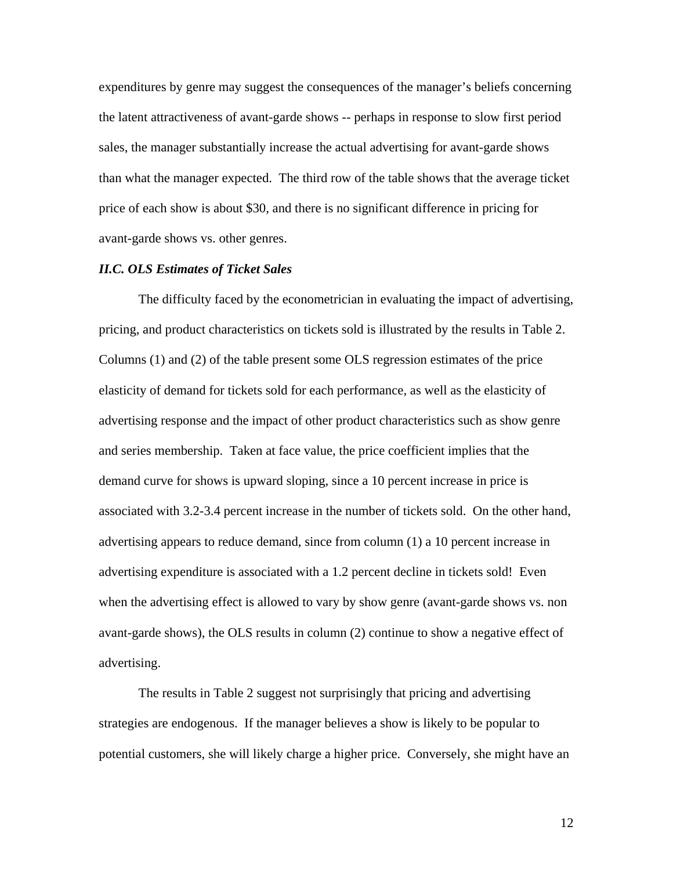expenditures by genre may suggest the consequences of the manager's beliefs concerning the latent attractiveness of avant-garde shows -- perhaps in response to slow first period sales, the manager substantially increase the actual advertising for avant-garde shows than what the manager expected. The third row of the table shows that the average ticket price of each show is about \$30, and there is no significant difference in pricing for avant-garde shows vs. other genres.

#### *II.C. OLS Estimates of Ticket Sales*

The difficulty faced by the econometrician in evaluating the impact of advertising, pricing, and product characteristics on tickets sold is illustrated by the results in Table 2. Columns (1) and (2) of the table present some OLS regression estimates of the price elasticity of demand for tickets sold for each performance, as well as the elasticity of advertising response and the impact of other product characteristics such as show genre and series membership. Taken at face value, the price coefficient implies that the demand curve for shows is upward sloping, since a 10 percent increase in price is associated with 3.2-3.4 percent increase in the number of tickets sold. On the other hand, advertising appears to reduce demand, since from column (1) a 10 percent increase in advertising expenditure is associated with a 1.2 percent decline in tickets sold! Even when the advertising effect is allowed to vary by show genre (avant-garde shows vs. non avant-garde shows), the OLS results in column (2) continue to show a negative effect of advertising.

The results in Table 2 suggest not surprisingly that pricing and advertising strategies are endogenous. If the manager believes a show is likely to be popular to potential customers, she will likely charge a higher price. Conversely, she might have an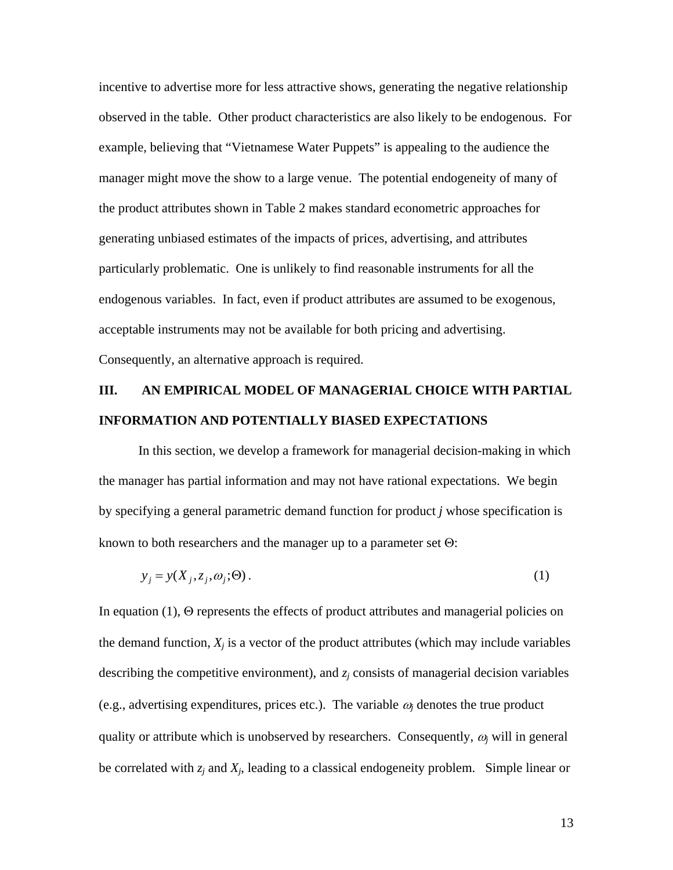incentive to advertise more for less attractive shows, generating the negative relationship observed in the table. Other product characteristics are also likely to be endogenous. For example, believing that "Vietnamese Water Puppets" is appealing to the audience the manager might move the show to a large venue. The potential endogeneity of many of the product attributes shown in Table 2 makes standard econometric approaches for generating unbiased estimates of the impacts of prices, advertising, and attributes particularly problematic. One is unlikely to find reasonable instruments for all the endogenous variables. In fact, even if product attributes are assumed to be exogenous, acceptable instruments may not be available for both pricing and advertising. Consequently, an alternative approach is required.

# **III. AN EMPIRICAL MODEL OF MANAGERIAL CHOICE WITH PARTIAL INFORMATION AND POTENTIALLY BIASED EXPECTATIONS**

In this section, we develop a framework for managerial decision-making in which the manager has partial information and may not have rational expectations. We begin by specifying a general parametric demand function for product *j* whose specification is known to both researchers and the manager up to a parameter set Θ:

$$
y_j = y(X_j, z_j, \omega_j; \Theta). \tag{1}
$$

In equation (1), Θ represents the effects of product attributes and managerial policies on the demand function,  $X_i$  is a vector of the product attributes (which may include variables describing the competitive environment), and *zj* consists of managerial decision variables (e.g., advertising expenditures, prices etc.). The variable  $\omega_i$  denotes the true product quality or attribute which is unobserved by researchers. Consequently, <sup>ω</sup>*<sup>j</sup>* will in general be correlated with *zj* and *Xj*, leading to a classical endogeneity problem. Simple linear or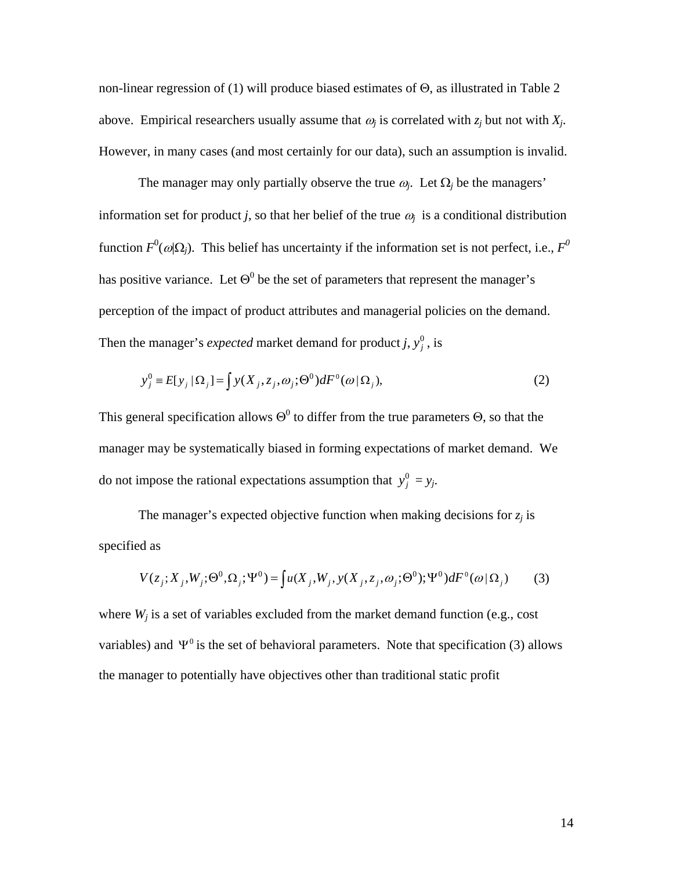non-linear regression of (1) will produce biased estimates of Θ, as illustrated in Table 2 above. Empirical researchers usually assume that  $\omega_i$  is correlated with  $z_i$  but not with  $X_i$ . However, in many cases (and most certainly for our data), such an assumption is invalid.

The manager may only partially observe the true  $\omega_i$ . Let  $\Omega_i$  be the managers' information set for product *j*, so that her belief of the true  $\omega_i$  is a conditional distribution function  $F^0(\omega|\Omega_j)$ . This belief has uncertainty if the information set is not perfect, i.e.,  $F^0$ has positive variance. Let  $\Theta^0$  be the set of parameters that represent the manager's perception of the impact of product attributes and managerial policies on the demand. Then the manager's *expected* market demand for product *j*,  $y_j^0$ , is

$$
y_j^0 = E[y_j | \Omega_j] = \int y(X_j, z_j, \omega_j; \Theta^0) dF^0(\omega | \Omega_j), \tag{2}
$$

This general specification allows  $\Theta^0$  to differ from the true parameters  $\Theta$ , so that the manager may be systematically biased in forming expectations of market demand. We do not impose the rational expectations assumption that  $y_j^0 = y_j$ .

The manager's expected objective function when making decisions for  $z_i$  is specified as

$$
V(z_j; X_j, W_j; \Theta^0, \Omega_j; \Psi^0) = \int u(X_j, W_j, y(X_j, z_j, \omega_j; \Theta^0); \Psi^0) dF^0(\omega | \Omega_j)
$$
 (3)

where  $W_j$  is a set of variables excluded from the market demand function (e.g., cost variables) and  $\Psi^0$  is the set of behavioral parameters. Note that specification (3) allows the manager to potentially have objectives other than traditional static profit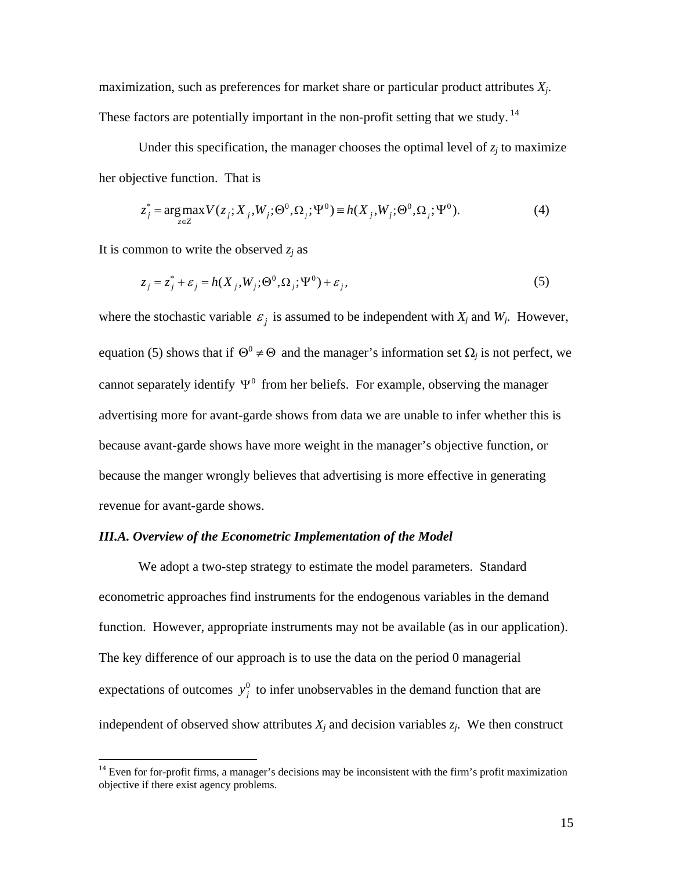maximization, such as preferences for market share or particular product attributes *Xj*. These factors are potentially important in the non-profit setting that we study.<sup>14</sup>

Under this specification, the manager chooses the optimal level of  $z_i$  to maximize her objective function. That is

$$
z_j^* = \arg \max_{z \in Z} V(z_j; X_j, W_j; \Theta^0, \Omega_j; \Psi^0) = h(X_j, W_j; \Theta^0, \Omega_j; \Psi^0).
$$
 (4)

It is common to write the observed  $z_i$  as

1

$$
z_j = z_j^* + \varepsilon_j = h(X_j, W_j; \Theta^0, \Omega_j; \Psi^0) + \varepsilon_j,
$$
\n<sup>(5)</sup>

where the stochastic variable  $\varepsilon_j$  is assumed to be independent with  $X_j$  and  $W_j$ . However, equation (5) shows that if  $\Theta^0 \neq \Theta$  and the manager's information set  $\Omega_i$  is not perfect, we cannot separately identify  $\Psi^0$  from her beliefs. For example, observing the manager advertising more for avant-garde shows from data we are unable to infer whether this is because avant-garde shows have more weight in the manager's objective function, or because the manger wrongly believes that advertising is more effective in generating revenue for avant-garde shows.

#### *III.A. Overview of the Econometric Implementation of the Model*

We adopt a two-step strategy to estimate the model parameters. Standard econometric approaches find instruments for the endogenous variables in the demand function. However, appropriate instruments may not be available (as in our application). The key difference of our approach is to use the data on the period 0 managerial expectations of outcomes  $y_j^0$  to infer unobservables in the demand function that are independent of observed show attributes  $X_j$  and decision variables  $z_j$ . We then construct

 $14$  Even for for-profit firms, a manager's decisions may be inconsistent with the firm's profit maximization objective if there exist agency problems.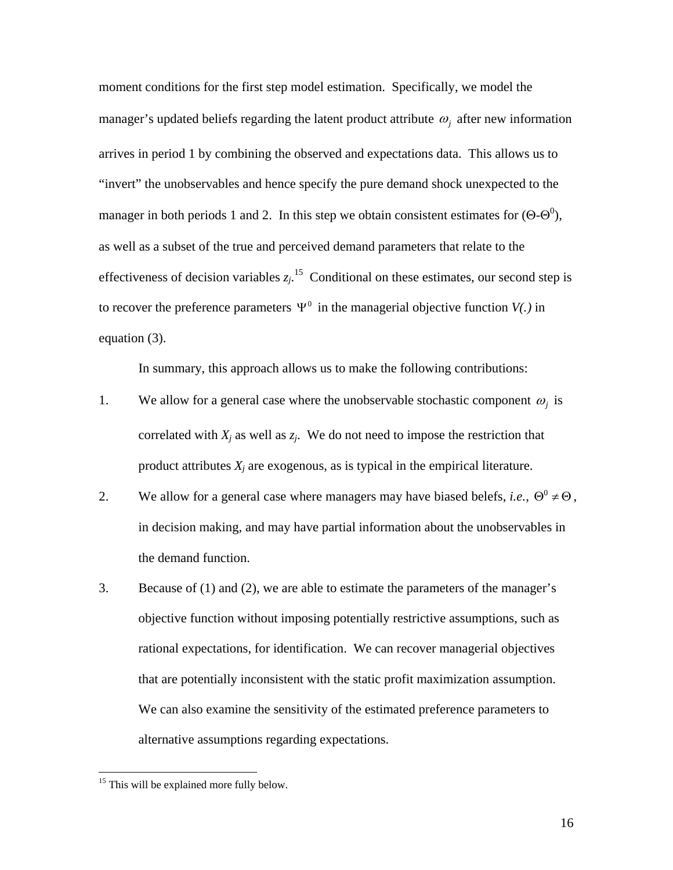moment conditions for the first step model estimation. Specifically, we model the manager's updated beliefs regarding the latent product attribute <sup>ω</sup>*j* after new information arrives in period 1 by combining the observed and expectations data. This allows us to "invert" the unobservables and hence specify the pure demand shock unexpected to the manager in both periods 1 and 2. In this step we obtain consistent estimates for  $(\Theta \cdot \Theta^0)$ , as well as a subset of the true and perceived demand parameters that relate to the effectiveness of decision variables  $z_j$ <sup>15</sup> Conditional on these estimates, our second step is to recover the preference parameters  $\Psi^0$  in the managerial objective function  $V(.)$  in equation (3).

In summary, this approach allows us to make the following contributions:

- 1. We allow for a general case where the unobservable stochastic component  $\omega_i$  is correlated with  $X_j$  as well as  $z_j$ . We do not need to impose the restriction that product attributes  $X_i$  are exogenous, as is typical in the empirical literature.
- 2. We allow for a general case where managers may have biased belefs, *i.e.*,  $\Theta^0 \neq \Theta$ , in decision making, and may have partial information about the unobservables in the demand function.
- 3. Because of (1) and (2), we are able to estimate the parameters of the manager's objective function without imposing potentially restrictive assumptions, such as rational expectations, for identification. We can recover managerial objectives that are potentially inconsistent with the static profit maximization assumption. We can also examine the sensitivity of the estimated preference parameters to alternative assumptions regarding expectations.

<u>.</u>

 $15$  This will be explained more fully below.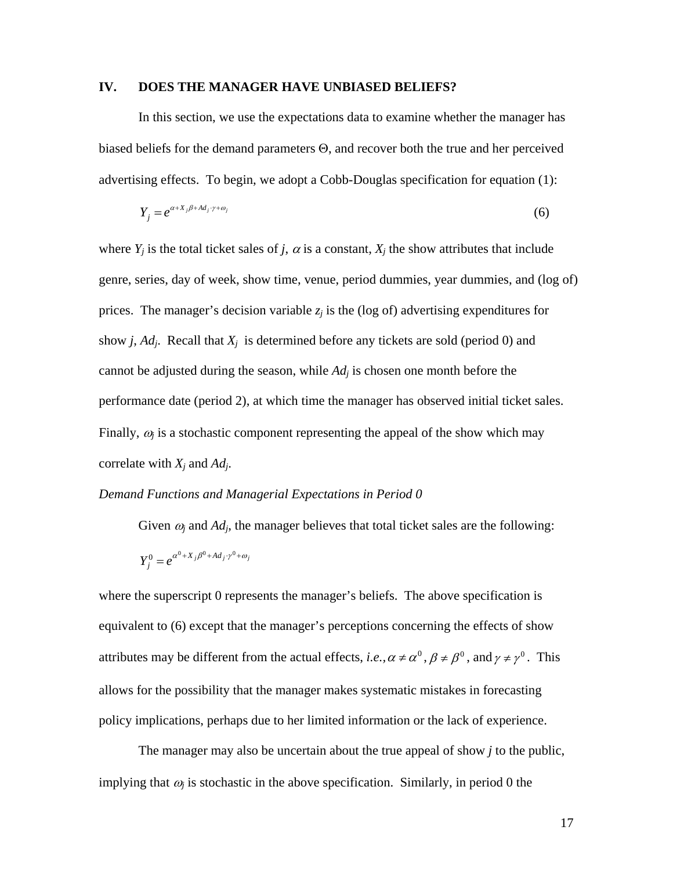# **IV. DOES THE MANAGER HAVE UNBIASED BELIEFS?**

In this section, we use the expectations data to examine whether the manager has biased beliefs for the demand parameters Θ, and recover both the true and her perceived advertising effects. To begin, we adopt a Cobb-Douglas specification for equation (1):

$$
Y_j = e^{\alpha + X_j \beta + Ad_j \cdot \gamma + \omega_j} \tag{6}
$$

where  $Y_i$  is the total ticket sales of *j*,  $\alpha$  is a constant,  $X_i$  the show attributes that include genre, series, day of week, show time, venue, period dummies, year dummies, and (log of) prices. The manager's decision variable  $z_i$  is the (log of) advertising expenditures for show  $j$ ,  $Ad<sub>j</sub>$ . Recall that  $X<sub>j</sub>$  is determined before any tickets are sold (period 0) and cannot be adjusted during the season, while *Adj* is chosen one month before the performance date (period 2), at which time the manager has observed initial ticket sales. Finally,  $\omega_i$  is a stochastic component representing the appeal of the show which may correlate with *Xj* and *Adj*.

#### *Demand Functions and Managerial Expectations in Period 0*

Given  $\omega_i$  and  $Ad_i$ , the manager believes that total ticket sales are the following:

$$
Y_j^0 = e^{\alpha^0 + X_j \beta^0 + Ad_j \cdot \gamma^0 + \omega_j}
$$

where the superscript 0 represents the manager's beliefs. The above specification is equivalent to (6) except that the manager's perceptions concerning the effects of show attributes may be different from the actual effects, *i.e.*,  $\alpha \neq \alpha^0$ ,  $\beta \neq \beta^0$ , and  $\gamma \neq \gamma^0$ . This allows for the possibility that the manager makes systematic mistakes in forecasting policy implications, perhaps due to her limited information or the lack of experience.

The manager may also be uncertain about the true appeal of show *j* to the public, implying that  $\omega_i$  is stochastic in the above specification. Similarly, in period 0 the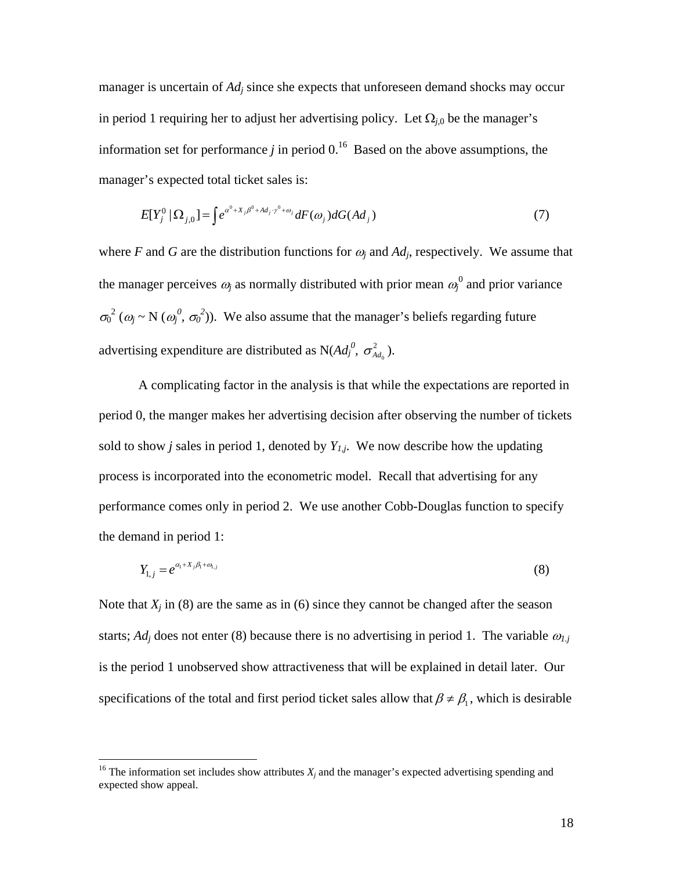manager is uncertain of *Ad<sub>i</sub>* since she expects that unforeseen demand shocks may occur in period 1 requiring her to adjust her advertising policy. Let  $\Omega_{j,0}$  be the manager's information set for performance *j* in period  $0<sup>16</sup>$  Based on the above assumptions, the manager's expected total ticket sales is:

$$
E[Y_j^0 \mid \Omega_{j,0}] = \int e^{\alpha^0 + X_j \beta^0 + Ad_j \cdot \gamma^0 + \omega_j} dF(\omega_j) dG(\Delta d_j)
$$
\n
$$
\tag{7}
$$

where *F* and *G* are the distribution functions for  $\omega_i$  and  $Ad_i$ , respectively. We assume that the manager perceives  $\omega_j$  as normally distributed with prior mean  $\omega_j^0$  and prior variance  $\sigma_0^2$  ( $\omega_j \sim N$  ( $\omega_j^0$ ,  $\sigma_0^2$ )). We also assume that the manager's beliefs regarding future advertising expenditure are distributed as  $N(Ad_j^0, \sigma_{A d_0}^2)$ .

A complicating factor in the analysis is that while the expectations are reported in period 0, the manger makes her advertising decision after observing the number of tickets sold to show *j* sales in period 1, denoted by  $Y_{1,j}$ . We now describe how the updating process is incorporated into the econometric model. Recall that advertising for any performance comes only in period 2. We use another Cobb-Douglas function to specify the demand in period 1:

$$
Y_{1,j} = e^{\alpha_1 + X_j \beta_1 + \omega_{1,j}} \tag{8}
$$

Note that  $X_i$  in (8) are the same as in (6) since they cannot be changed after the season starts;  $Ad<sub>i</sub>$  does not enter (8) because there is no advertising in period 1. The variable  $\omega_{1,i}$ is the period 1 unobserved show attractiveness that will be explained in detail later. Our specifications of the total and first period ticket sales allow that  $\beta \neq \beta_1$ , which is desirable

 $\overline{a}$ 

<sup>&</sup>lt;sup>16</sup> The information set includes show attributes  $X_j$  and the manager's expected advertising spending and expected show appeal.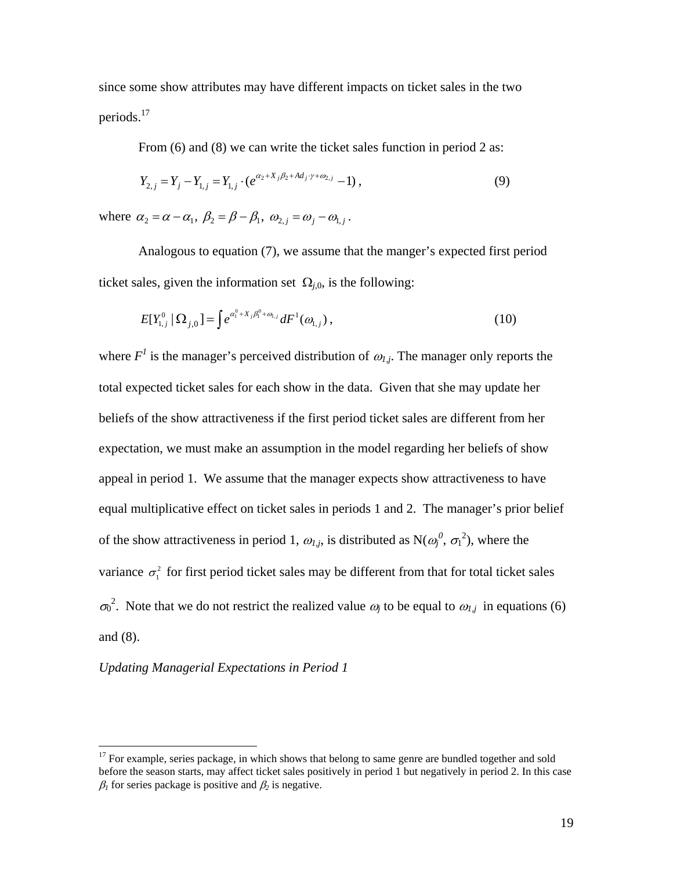since some show attributes may have different impacts on ticket sales in the two periods.17

From (6) and (8) we can write the ticket sales function in period 2 as:

$$
Y_{2,j} = Y_j - Y_{1,j} = Y_{1,j} \cdot (e^{\alpha_2 + X_j \beta_2 + Ad_j \cdot \gamma + \omega_{2,j}} - 1) , \qquad (9)
$$

where  $\alpha_2 = \alpha - \alpha_1$ ,  $\beta_2 = \beta - \beta_1$ ,  $\omega_{2,i} = \omega_i - \omega_{1,i}$ .

Analogous to equation (7), we assume that the manger's expected first period ticket sales, given the information set  $\Omega_{i,0}$ , is the following:

$$
E[Y_{1,j}^0 | \Omega_{j,0}] = \int e^{\alpha_1^0 + X_j \beta_1^0 + \omega_{1,j}} dF^1(\omega_{1,j}), \qquad (10)
$$

where  $F<sup>1</sup>$  is the manager's perceived distribution of  $\omega_{1,i}$ . The manager only reports the total expected ticket sales for each show in the data. Given that she may update her beliefs of the show attractiveness if the first period ticket sales are different from her expectation, we must make an assumption in the model regarding her beliefs of show appeal in period 1. We assume that the manager expects show attractiveness to have equal multiplicative effect on ticket sales in periods 1 and 2. The manager's prior belief of the show attractiveness in period 1,  $\omega_{l,j}$ , is distributed as  $N(\omega_j^0, \sigma_1^2)$ , where the variance  $\sigma_1^2$  for first period ticket sales may be different from that for total ticket sales  $\sigma_0^2$ . Note that we do not restrict the realized value  $\omega_j$  to be equal to  $\omega_{1,j}$  in equations (6) and (8).

# *Updating Managerial Expectations in Period 1*

 $17$  For example, series package, in which shows that belong to same genre are bundled together and sold before the season starts, may affect ticket sales positively in period 1 but negatively in period 2. In this case  $\beta_1$  for series package is positive and  $\beta_2$  is negative.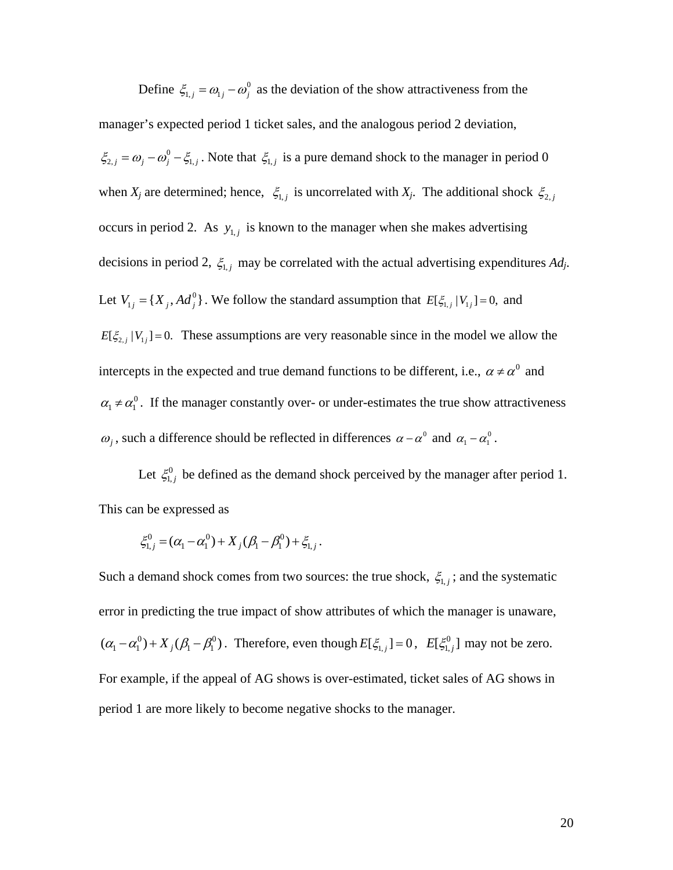Define  $\zeta_{1,j} = \omega_{1,j} - \omega_j^0$  as the deviation of the show attractiveness from the manager's expected period 1 ticket sales, and the analogous period 2 deviation,  $\xi_{2,j} = \omega_j - \omega_j^0 - \xi_{1,j}$ . Note that  $\xi_{1,j}$  is a pure demand shock to the manager in period 0 when  $X_j$  are determined; hence,  $\xi_{1,j}$  is uncorrelated with  $X_j$ . The additional shock  $\xi_{2,j}$ occurs in period 2. As  $y_{1,j}$  is known to the manager when she makes advertising decisions in period 2,  $\xi_{1,j}$  may be correlated with the actual advertising expenditures  $Ad_j$ . Let  $V_{1j} = \{X_j, Ad_j^0\}$ . We follow the standard assumption that  $E[\xi_{1,j} | V_{1j}] = 0$ , and  $E[\xi_{2,j} | V_{1j}] = 0$ . These assumptions are very reasonable since in the model we allow the intercepts in the expected and true demand functions to be different, i.e.,  $\alpha \neq \alpha^0$  and  $\alpha_1 \neq \alpha_1^0$ . If the manager constantly over- or under-estimates the true show attractiveness  $\omega_j$ , such a difference should be reflected in differences  $\alpha - \alpha^0$  and  $\alpha_1 - \alpha_1^0$ .

Let  $\xi_{1,j}^0$  be defined as the demand shock perceived by the manager after period 1. This can be expressed as

$$
\xi_{1,j}^0 = (\alpha_1 - \alpha_1^0) + X_j (\beta_1 - \beta_1^0) + \xi_{1,j}.
$$

Such a demand shock comes from two sources: the true shock,  $\xi_{1,j}$ ; and the systematic error in predicting the true impact of show attributes of which the manager is unaware,  $(\alpha_1 - \alpha_1^0) + X_j(\beta_1 - \beta_1^0)$ . Therefore, even though  $E[\xi_{1,j}] = 0$ ,  $E[\xi_{1,j}^0]$  may not be zero. For example, if the appeal of AG shows is over-estimated, ticket sales of AG shows in period 1 are more likely to become negative shocks to the manager.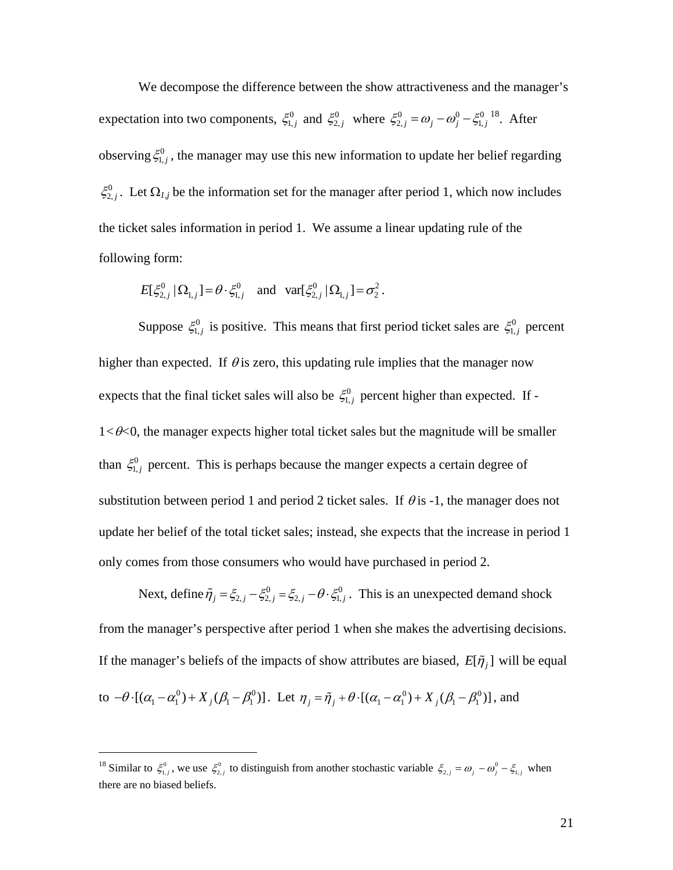We decompose the difference between the show attractiveness and the manager's expectation into two components,  $\xi_{1,j}^0$  and  $\xi_{2,j}^0$  where  $\xi_{2,j}^0 = \omega_j - \omega_j^0 - \xi_{1,j}^0$ . After observing  $\xi_{1,j}^0$ , the manager may use this new information to update her belief regarding  $\xi_{2,j}^0$ . Let  $\Omega_{I,j}$  be the information set for the manager after period 1, which now includes the ticket sales information in period 1. We assume a linear updating rule of the following form:

$$
E[\xi_{2,j}^0 | \Omega_{1,j}] = \theta \cdot \xi_{1,j}^0 \quad \text{and} \quad \text{var}[\xi_{2,j}^0 | \Omega_{1,j}] = \sigma_2^2 \,.
$$

Suppose  $\xi_{1,j}^0$  is positive. This means that first period ticket sales are  $\xi_{1,j}^0$  percent higher than expected. If  $\theta$  is zero, this updating rule implies that the manager now expects that the final ticket sales will also be  $\xi_{1,j}^0$  percent higher than expected. If - $1 < \theta < 0$ , the manager expects higher total ticket sales but the magnitude will be smaller than  $\xi_{1,j}^0$  percent. This is perhaps because the manger expects a certain degree of substitution between period 1 and period 2 ticket sales. If  $\theta$  is -1, the manager does not update her belief of the total ticket sales; instead, she expects that the increase in period 1 only comes from those consumers who would have purchased in period 2.

Next, define  $\tilde{\eta}_j = \xi_{2,j} - \xi_{2,j}^0 = \xi_{2,j} - \theta \cdot \xi_{1,j}^0$ . This is an unexpected demand shock from the manager's perspective after period 1 when she makes the advertising decisions. If the manager's beliefs of the impacts of show attributes are biased,  $E[\tilde{\eta}_i]$  will be equal to  $-\theta \cdot [(\alpha_1 - \alpha_1^0) + X_j(\beta_1 - \beta_1^0)]$ . Let  $\eta_j = \tilde{\eta}_j + \theta \cdot [(\alpha_1 - \alpha_1^0) + X_j(\beta_1 - \beta_1^0)]$ , and

 $\overline{a}$ 

<sup>&</sup>lt;sup>18</sup> Similar to  $\xi_{1,j}^0$ , we use  $\xi_{2,j}^0$  to distinguish from another stochastic variable  $\xi_{2,j} = \omega_j - \omega_j^0 - \xi_{1,j}$  when there are no biased beliefs.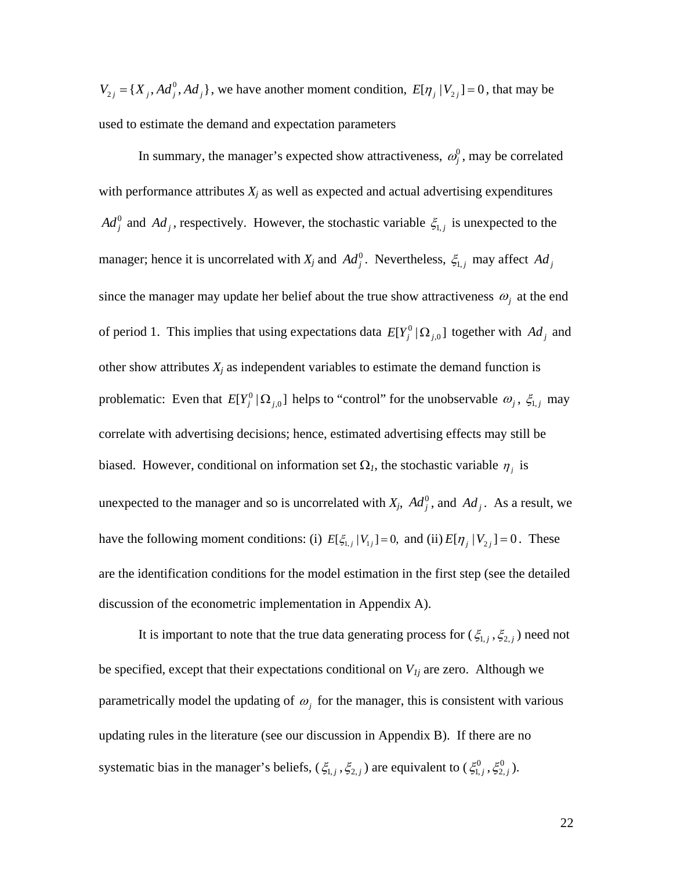$V_{2j} = {X_j, Ad_j^0, Ad_j}$ , we have another moment condition,  $E[\eta_j | V_{2j}] = 0$ , that may be used to estimate the demand and expectation parameters

In summary, the manager's expected show attractiveness,  $\omega_j^0$ , may be correlated with performance attributes  $X_j$  as well as expected and actual advertising expenditures  $Ad_j^0$  and  $Ad_j$ , respectively. However, the stochastic variable  $\xi_{1,j}$  is unexpected to the manager; hence it is uncorrelated with  $X_j$  and  $Ad_j^0$ . Nevertheless,  $\xi_{1,j}$  may affect  $Ad_j$ since the manager may update her belief about the true show attractiveness  $\omega_j$  at the end of period 1. This implies that using expectations data  $E[Y_j^0 | \Omega_{j,0}]$  together with  $Ad_j$  and other show attributes  $X_j$  as independent variables to estimate the demand function is problematic: Even that  $E[Y_j^0 | \Omega_{j,0}]$  helps to "control" for the unobservable  $\omega_j$ ,  $\xi_{1,j}$  may correlate with advertising decisions; hence, estimated advertising effects may still be biased. However, conditional on information set  $\Omega_l$ , the stochastic variable  $\eta_j$  is unexpected to the manager and so is uncorrelated with  $X_j$ ,  $Ad_j^0$ , and  $Ad_j$ . As a result, we have the following moment conditions: (i)  $E[\xi_{1,j} | V_{1j}] = 0$ , and (ii)  $E[\eta_j | V_{2j}] = 0$ . These are the identification conditions for the model estimation in the first step (see the detailed discussion of the econometric implementation in Appendix A).

It is important to note that the true data generating process for  $(\xi_{1,j}, \xi_{2,j})$  need not be specified, except that their expectations conditional on  $V_{1j}$  are zero. Although we parametrically model the updating of  $\omega_i$  for the manager, this is consistent with various updating rules in the literature (see our discussion in Appendix B). If there are no systematic bias in the manager's beliefs,  $(\xi_{1,j}, \xi_{2,j})$  are equivalent to  $(\xi_{1,j}^0, \xi_{2,j}^0)$ .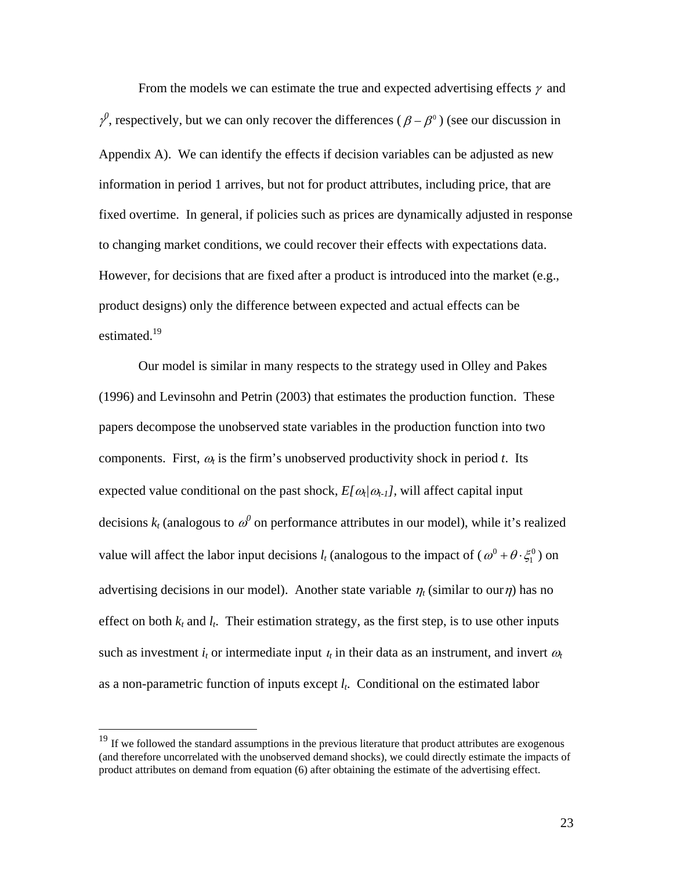From the models we can estimate the true and expected advertising effects  $\gamma$  and  $\gamma^0$ , respectively, but we can only recover the differences ( $\beta - \beta^0$ ) (see our discussion in Appendix A). We can identify the effects if decision variables can be adjusted as new information in period 1 arrives, but not for product attributes, including price, that are fixed overtime. In general, if policies such as prices are dynamically adjusted in response to changing market conditions, we could recover their effects with expectations data. However, for decisions that are fixed after a product is introduced into the market (e.g., product designs) only the difference between expected and actual effects can be estimated.<sup>19</sup>

Our model is similar in many respects to the strategy used in Olley and Pakes (1996) and Levinsohn and Petrin (2003) that estimates the production function. These papers decompose the unobserved state variables in the production function into two components. First,  $\omega_t$  is the firm's unobserved productivity shock in period *t*. Its expected value conditional on the past shock,  $E[\omega_t/\omega_{t-1}]$ , will affect capital input decisions  $k_t$  (analogous to  $\omega^0$  on performance attributes in our model), while it's realized value will affect the labor input decisions  $l_t$  (analogous to the impact of  $(\omega^0 + \theta \cdot \xi_1^0)$ ) on advertising decisions in our model). Another state variable  $\eta_t$  (similar to our $\eta$ ) has no effect on both  $k_t$  and  $l_t$ . Their estimation strategy, as the first step, is to use other inputs such as investment  $i_t$  or intermediate input  $i_t$  in their data as an instrument, and invert  $\omega_t$ as a non-parametric function of inputs except *lt*. Conditional on the estimated labor

<u>.</u>

<sup>&</sup>lt;sup>19</sup> If we followed the standard assumptions in the previous literature that product attributes are exogenous (and therefore uncorrelated with the unobserved demand shocks), we could directly estimate the impacts of product attributes on demand from equation (6) after obtaining the estimate of the advertising effect.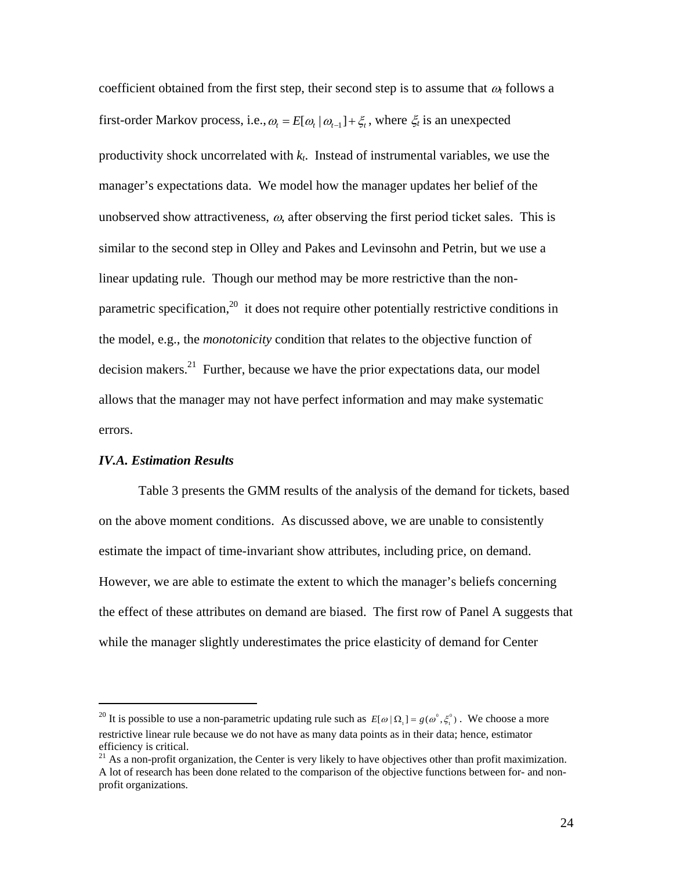coefficient obtained from the first step, their second step is to assume that  $\omega_t$  follows a first-order Markov process, i.e.,  $\omega_t = E[\omega_t | \omega_{t-1}] + \xi_t$ , where  $\xi_t$  is an unexpected productivity shock uncorrelated with *kt*. Instead of instrumental variables, we use the manager's expectations data. We model how the manager updates her belief of the unobserved show attractiveness,  $\omega$ , after observing the first period ticket sales. This is similar to the second step in Olley and Pakes and Levinsohn and Petrin, but we use a linear updating rule. Though our method may be more restrictive than the nonparametric specification,<sup>20</sup> it does not require other potentially restrictive conditions in the model, e.g., the *monotonicity* condition that relates to the objective function of decision makers. $^{21}$  Further, because we have the prior expectations data, our model allows that the manager may not have perfect information and may make systematic errors.

#### *IV.A. Estimation Results*

 $\overline{a}$ 

Table 3 presents the GMM results of the analysis of the demand for tickets, based on the above moment conditions. As discussed above, we are unable to consistently estimate the impact of time-invariant show attributes, including price, on demand. However, we are able to estimate the extent to which the manager's beliefs concerning the effect of these attributes on demand are biased. The first row of Panel A suggests that while the manager slightly underestimates the price elasticity of demand for Center

<sup>&</sup>lt;sup>20</sup> It is possible to use a non-parametric updating rule such as  $E[\omega | \Omega_1] = g(\omega^0, \xi_1^0)$ . We choose a more restrictive linear rule because we do not have as many data points as in their data; hence, estimator efficiency is critical.

 $21$  As a non-profit organization, the Center is very likely to have objectives other than profit maximization. A lot of research has been done related to the comparison of the objective functions between for- and nonprofit organizations.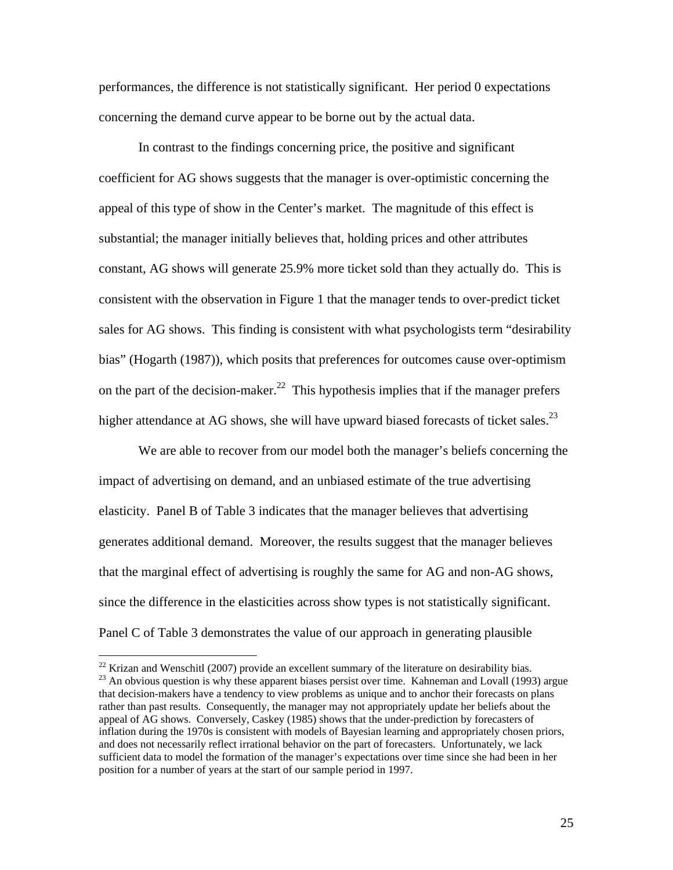performances, the difference is not statistically significant. Her period 0 expectations concerning the demand curve appear to be borne out by the actual data.

In contrast to the findings concerning price, the positive and significant coefficient for AG shows suggests that the manager is over-optimistic concerning the appeal of this type of show in the Center's market. The magnitude of this effect is substantial; the manager initially believes that, holding prices and other attributes constant, AG shows will generate 25.9% more ticket sold than they actually do. This is consistent with the observation in Figure 1 that the manager tends to over-predict ticket sales for AG shows. This finding is consistent with what psychologists term "desirability bias" (Hogarth (1987)), which posits that preferences for outcomes cause over-optimism on the part of the decision-maker.<sup>22</sup> This hypothesis implies that if the manager prefers higher attendance at AG shows, she will have upward biased forecasts of ticket sales.<sup>23</sup>

We are able to recover from our model both the manager's beliefs concerning the impact of advertising on demand, and an unbiased estimate of the true advertising elasticity. Panel B of Table 3 indicates that the manager believes that advertising generates additional demand. Moreover, the results suggest that the manager believes that the marginal effect of advertising is roughly the same for AG and non-AG shows, since the difference in the elasticities across show types is not statistically significant. Panel C of Table 3 demonstrates the value of our approach in generating plausible

 $\overline{a}$ 

<sup>&</sup>lt;sup>22</sup> Krizan and Wenschitl (2007) provide an excellent summary of the literature on desirability bias.<br><sup>23</sup> An obvious question is why these apparent biases persist over time. Kahneman and Lovall (1993) argue that decision-makers have a tendency to view problems as unique and to anchor their forecasts on plans rather than past results. Consequently, the manager may not appropriately update her beliefs about the appeal of AG shows. Conversely, Caskey (1985) shows that the under-prediction by forecasters of inflation during the 1970s is consistent with models of Bayesian learning and appropriately chosen priors, and does not necessarily reflect irrational behavior on the part of forecasters. Unfortunately, we lack sufficient data to model the formation of the manager's expectations over time since she had been in her position for a number of years at the start of our sample period in 1997.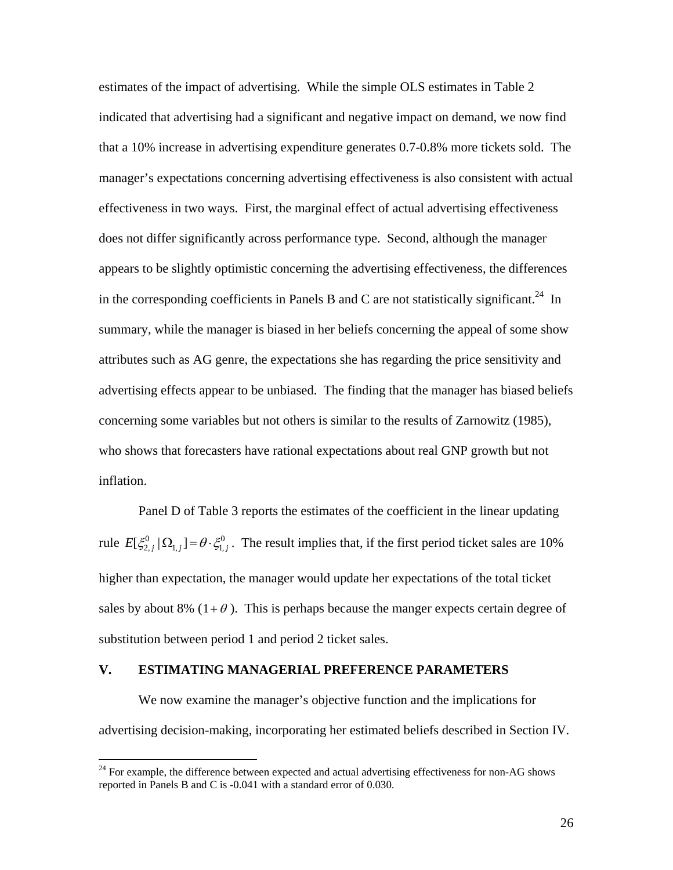estimates of the impact of advertising. While the simple OLS estimates in Table 2 indicated that advertising had a significant and negative impact on demand, we now find that a 10% increase in advertising expenditure generates 0.7-0.8% more tickets sold. The manager's expectations concerning advertising effectiveness is also consistent with actual effectiveness in two ways. First, the marginal effect of actual advertising effectiveness does not differ significantly across performance type. Second, although the manager appears to be slightly optimistic concerning the advertising effectiveness, the differences in the corresponding coefficients in Panels B and C are not statistically significant.<sup>24</sup> In summary, while the manager is biased in her beliefs concerning the appeal of some show attributes such as AG genre, the expectations she has regarding the price sensitivity and advertising effects appear to be unbiased. The finding that the manager has biased beliefs concerning some variables but not others is similar to the results of Zarnowitz (1985), who shows that forecasters have rational expectations about real GNP growth but not inflation.

Panel D of Table 3 reports the estimates of the coefficient in the linear updating rule  $E[\xi_{2,j}^0 | \Omega_{1,j}] = \theta \cdot \xi_{1,j}^0$ . The result implies that, if the first period ticket sales are 10% higher than expectation, the manager would update her expectations of the total ticket sales by about 8% ( $1+\theta$ ). This is perhaps because the manger expects certain degree of substitution between period 1 and period 2 ticket sales.

# **V. ESTIMATING MANAGERIAL PREFERENCE PARAMETERS**

1

We now examine the manager's objective function and the implications for advertising decision-making, incorporating her estimated beliefs described in Section IV.

<sup>&</sup>lt;sup>24</sup> For example, the difference between expected and actual advertising effectiveness for non-AG shows reported in Panels B and C is -0.041 with a standard error of 0.030.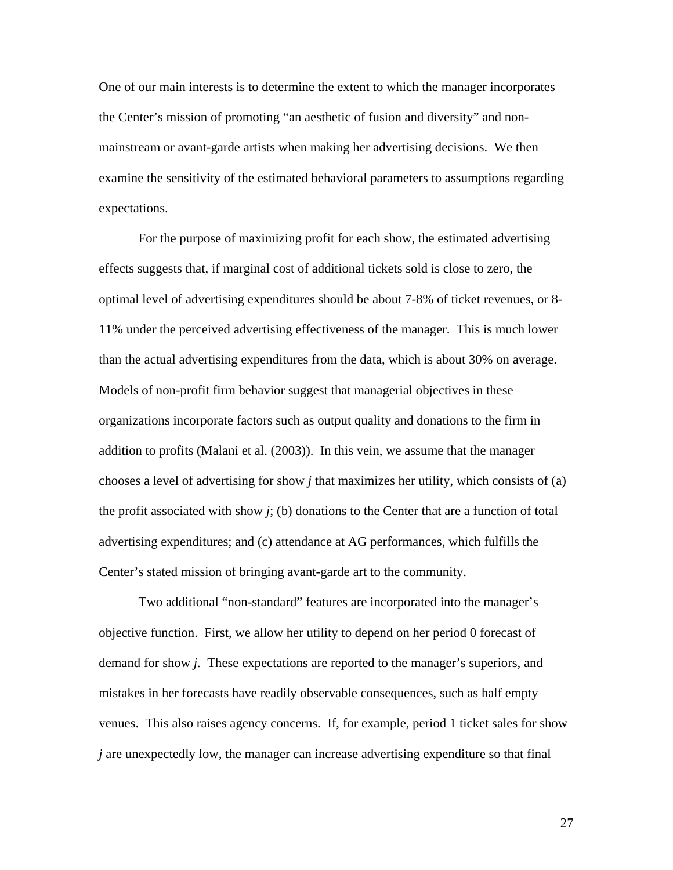One of our main interests is to determine the extent to which the manager incorporates the Center's mission of promoting "an aesthetic of fusion and diversity" and nonmainstream or avant-garde artists when making her advertising decisions. We then examine the sensitivity of the estimated behavioral parameters to assumptions regarding expectations.

For the purpose of maximizing profit for each show, the estimated advertising effects suggests that, if marginal cost of additional tickets sold is close to zero, the optimal level of advertising expenditures should be about 7-8% of ticket revenues, or 8- 11% under the perceived advertising effectiveness of the manager. This is much lower than the actual advertising expenditures from the data, which is about 30% on average. Models of non-profit firm behavior suggest that managerial objectives in these organizations incorporate factors such as output quality and donations to the firm in addition to profits (Malani et al. (2003)). In this vein, we assume that the manager chooses a level of advertising for show *j* that maximizes her utility, which consists of (a) the profit associated with show  $j$ ; (b) donations to the Center that are a function of total advertising expenditures; and (c) attendance at AG performances, which fulfills the Center's stated mission of bringing avant-garde art to the community.

Two additional "non-standard" features are incorporated into the manager's objective function. First, we allow her utility to depend on her period 0 forecast of demand for show *j*. These expectations are reported to the manager's superiors, and mistakes in her forecasts have readily observable consequences, such as half empty venues. This also raises agency concerns. If, for example, period 1 ticket sales for show *j* are unexpectedly low, the manager can increase advertising expenditure so that final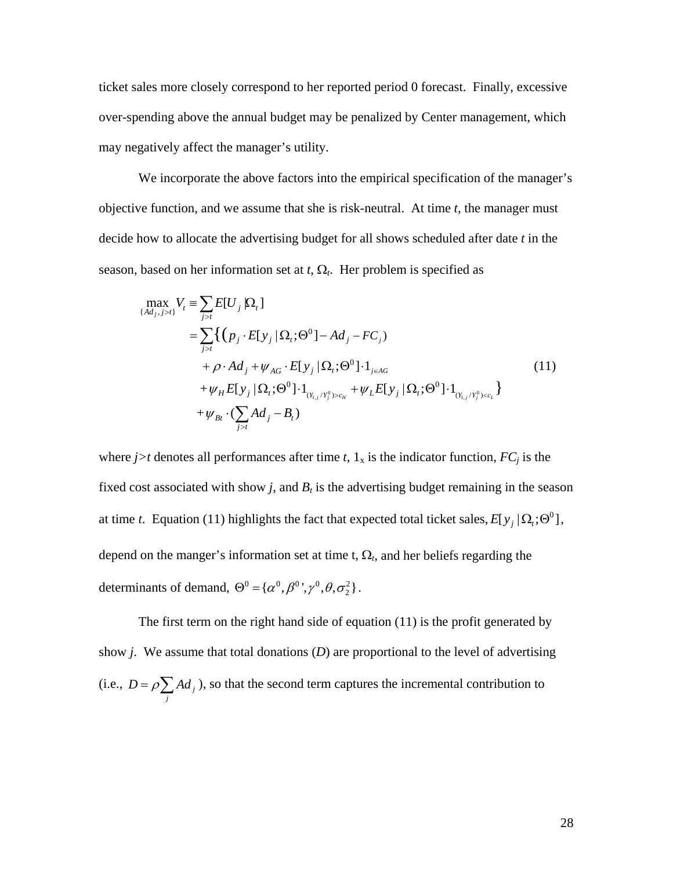ticket sales more closely correspond to her reported period 0 forecast. Finally, excessive over-spending above the annual budget may be penalized by Center management, which may negatively affect the manager's utility.

We incorporate the above factors into the empirical specification of the manager's objective function, and we assume that she is risk-neutral. At time *t*, the manager must decide how to allocate the advertising budget for all shows scheduled after date *t* in the season, based on her information set at  $t$ ,  $\Omega_t$ . Her problem is specified as

$$
\max_{\{Ad_j, j>t\}} V_t \equiv \sum_{j>t} E[U_j | \Omega_t]
$$
\n
$$
= \sum_{j>t} \left\{ (p_j \cdot E[y_j | \Omega_t; \Theta^0] - Ad_j - FC_j) + \rho \cdot Ad_j + \psi_{AG} \cdot E[y_j | \Omega_t; \Theta^0] \cdot 1_{j \in AG} + \psi_H E[y_j | \Omega_t; \Theta^0] \cdot 1_{(Y_{i,j}/Y_j^0) > c_H} + \psi_L E[y_j | \Omega_t; \Theta^0] \cdot 1_{(Y_{i,j}/Y_j^0) > c_L} \right\}
$$
\n
$$
+ \psi_{Bt} \cdot (\sum_{j>t} Ad_j - B_t)
$$
\n(11)

where  $j>t$  denotes all performances after time t,  $1_x$  is the indicator function,  $FC_j$  is the fixed cost associated with show  $j$ , and  $B_t$  is the advertising budget remaining in the season at time *t*. Equation (11) highlights the fact that expected total ticket sales,  $E[y_j | \Omega_i; \Theta^0]$ , depend on the manger's information set at time  $t$ ,  $\Omega_t$ , and her beliefs regarding the determinants of demand,  $\Theta^0 = {\alpha^0, \beta^0, \gamma^0, \theta, \sigma_2^2}.$ 

The first term on the right hand side of equation (11) is the profit generated by show *j*. We assume that total donations (*D*) are proportional to the level of advertising (i.e.,  $D = \rho \sum A d_j$  $D = \rho \sum_{j} A d_{j}$ , so that the second term captures the incremental contribution to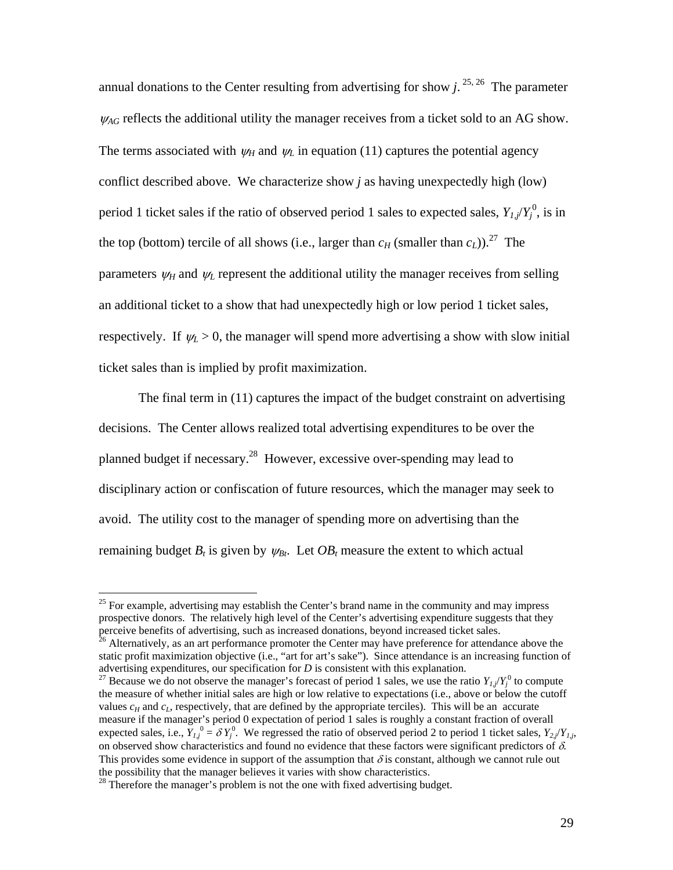annual donations to the Center resulting from advertising for show  $j$ . <sup>25, 26</sup> The parameter  $\mathcal{U}_{AG}$  reflects the additional utility the manager receives from a ticket sold to an AG show. The terms associated with  $\psi_H$  and  $\psi_L$  in equation (11) captures the potential agency conflict described above. We characterize show *j* as having unexpectedly high (low) period 1 ticket sales if the ratio of observed period 1 sales to expected sales,  $Y_{l,j}/Y_j^0$ , is in the top (bottom) tercile of all shows (i.e., larger than  $c_H$  (smaller than  $c_L$ )).<sup>27</sup> The parameters  $\psi_H$  and  $\psi_L$  represent the additional utility the manager receives from selling an additional ticket to a show that had unexpectedly high or low period 1 ticket sales, respectively. If  $\psi_L > 0$ , the manager will spend more advertising a show with slow initial ticket sales than is implied by profit maximization.

The final term in (11) captures the impact of the budget constraint on advertising decisions. The Center allows realized total advertising expenditures to be over the planned budget if necessary.28 However, excessive over-spending may lead to disciplinary action or confiscation of future resources, which the manager may seek to avoid. The utility cost to the manager of spending more on advertising than the remaining budget  $B_t$  is given by  $\psi_{Bt}$ . Let  $OB_t$  measure the extent to which actual

 $25$  For example, advertising may establish the Center's brand name in the community and may impress prospective donors. The relatively high level of the Center's advertising expenditure suggests that they perceive benefits of advertising, such as increased donations, beyond increased ticket sales.<br><sup>26</sup> Alternatively, as an art performance promoter the Center may have preference for attendance above the

static profit maximization objective (i.e., "art for art's sake"). Since attendance is an increasing function of advertising expenditures, our specification for *D* is consistent with this explanation.<br><sup>27</sup> Because we do not observe the manager's forecast of period 1 sales, we use the ratio  $Y_{1,j}/Y_j^0$  to compute

the measure of whether initial sales are high or low relative to expectations (i.e., above or below the cutoff values  $c_H$  and  $c_L$ , respectively, that are defined by the appropriate terciles). This will be an accurate measure if the manager's period 0 expectation of period 1 sales is roughly a constant fraction of overall expected sales, i.e.,  $Y_{1,j}^0 = \delta Y_j^0$ . We regressed the ratio of observed period 2 to period 1 ticket sales,  $Y_{2,j} / Y_{1,j}$ , on observed show characteristics and found no evidence that these factors were significant predictors of  $\delta$ . This provides some evidence in support of the assumption that  $\delta$  is constant, although we cannot rule out the possibility that the manager believes it varies with show characteristics. 28 Therefore the manager's problem is not the one with fixed advertising budget.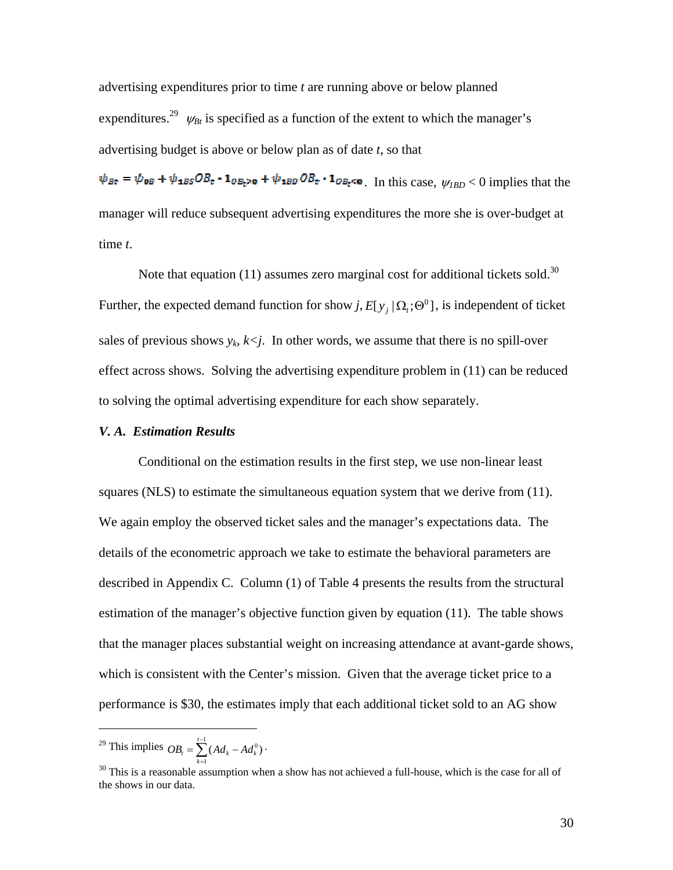advertising expenditures prior to time *t* are running above or below planned expenditures.<sup>29</sup>  $\psi_{Bt}$  is specified as a function of the extent to which the manager's advertising budget is above or below plan as of date *t*, so that

 $\psi_{Bt} = \psi_{0B} + \psi_{1BS}OB_t - 1_{OB_t > 0} + \psi_{1BD}OB_t - 1_{OB_t < 0}$ . In this case,  $\psi_{IBD} < 0$  implies that the manager will reduce subsequent advertising expenditures the more she is over-budget at time *t*.

Note that equation (11) assumes zero marginal cost for additional tickets sold.<sup>30</sup> Further, the expected demand function for show *j*,  $E[y_i | \Omega_i; \Theta^0]$ , is independent of ticket sales of previous shows  $y_k$ ,  $k \leq j$ . In other words, we assume that there is no spill-over effect across shows. Solving the advertising expenditure problem in (11) can be reduced to solving the optimal advertising expenditure for each show separately.

# *V. A. Estimation Results*

Conditional on the estimation results in the first step, we use non-linear least squares (NLS) to estimate the simultaneous equation system that we derive from (11). We again employ the observed ticket sales and the manager's expectations data. The details of the econometric approach we take to estimate the behavioral parameters are described in Appendix C. Column (1) of Table 4 presents the results from the structural estimation of the manager's objective function given by equation (11). The table shows that the manager places substantial weight on increasing attendance at avant-garde shows, which is consistent with the Center's mission. Given that the average ticket price to a performance is \$30, the estimates imply that each additional ticket sold to an AG show

*k*  $\sum_{k=1}^{-1} (Ad_k - Ad_k)$ <sup>29</sup> This implies  $OB_t = \sum_{k=1}^{t-1} (Ad_k - Ad_k^0)$ . 1  $t - \sum (t) u_k$  *k*  $t u_k$ 

 $\overline{a}$ 

 $30$  This is a reasonable assumption when a show has not achieved a full-house, which is the case for all of the shows in our data.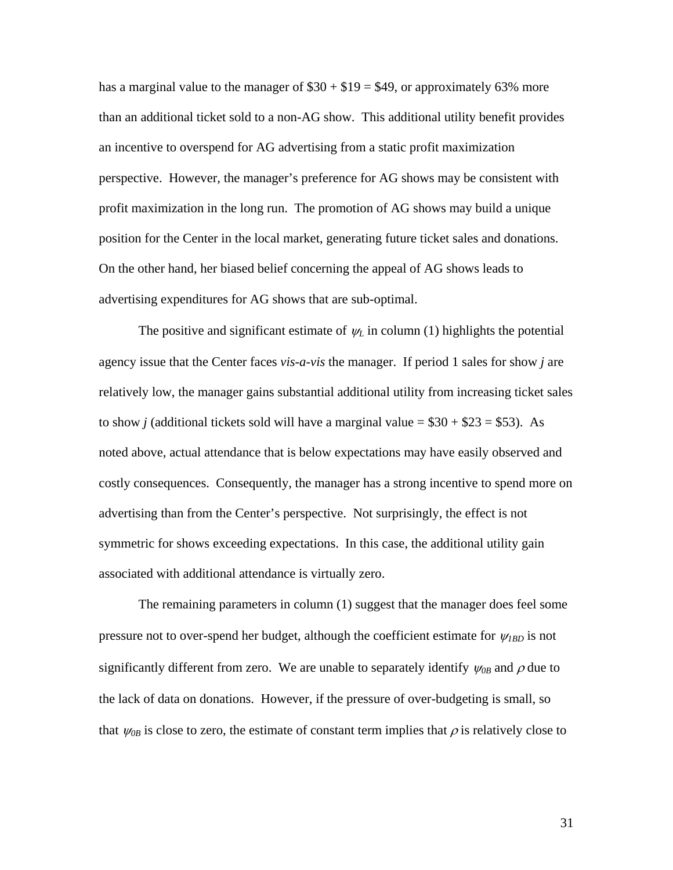has a marginal value to the manager of  $$30 + $19 = $49$ , or approximately 63% more than an additional ticket sold to a non-AG show. This additional utility benefit provides an incentive to overspend for AG advertising from a static profit maximization perspective. However, the manager's preference for AG shows may be consistent with profit maximization in the long run. The promotion of AG shows may build a unique position for the Center in the local market, generating future ticket sales and donations. On the other hand, her biased belief concerning the appeal of AG shows leads to advertising expenditures for AG shows that are sub-optimal.

The positive and significant estimate of  $\psi_L$  in column (1) highlights the potential agency issue that the Center faces *vis-a-vis* the manager. If period 1 sales for show *j* are relatively low, the manager gains substantial additional utility from increasing ticket sales to show *j* (additional tickets sold will have a marginal value =  $$30 + $23 = $53$ ). As noted above, actual attendance that is below expectations may have easily observed and costly consequences. Consequently, the manager has a strong incentive to spend more on advertising than from the Center's perspective. Not surprisingly, the effect is not symmetric for shows exceeding expectations. In this case, the additional utility gain associated with additional attendance is virtually zero.

The remaining parameters in column (1) suggest that the manager does feel some pressure not to over-spend her budget, although the coefficient estimate for <sup>ψ</sup>*1BD* is not significantly different from zero. We are unable to separately identify  $\psi_{0B}$  and  $\rho$  due to the lack of data on donations. However, if the pressure of over-budgeting is small, so that  $\psi_{0B}$  is close to zero, the estimate of constant term implies that  $\rho$  is relatively close to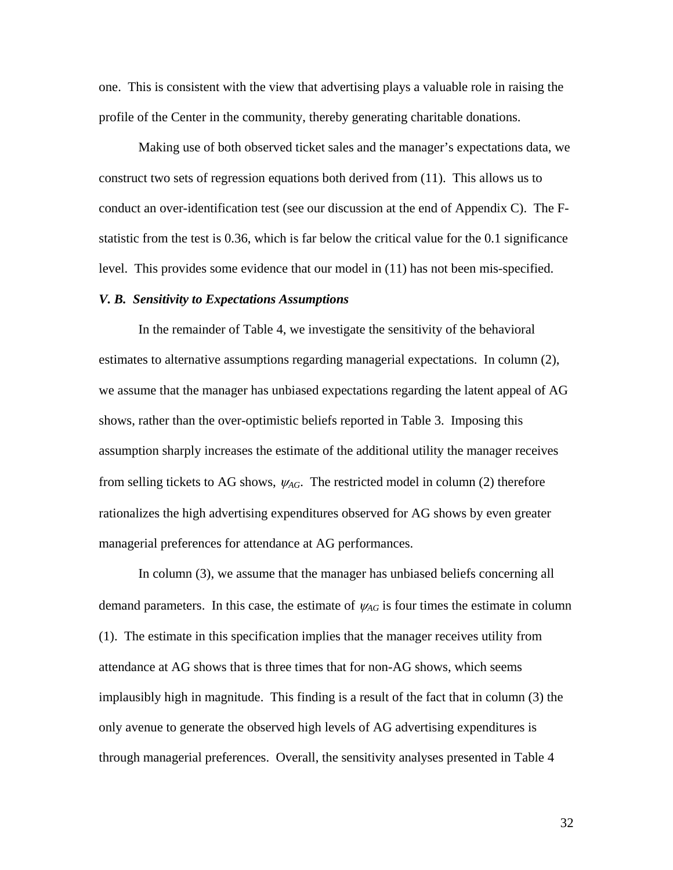one. This is consistent with the view that advertising plays a valuable role in raising the profile of the Center in the community, thereby generating charitable donations.

Making use of both observed ticket sales and the manager's expectations data, we construct two sets of regression equations both derived from (11). This allows us to conduct an over-identification test (see our discussion at the end of Appendix C). The Fstatistic from the test is 0.36, which is far below the critical value for the 0.1 significance level. This provides some evidence that our model in (11) has not been mis-specified.

#### *V. B. Sensitivity to Expectations Assumptions*

In the remainder of Table 4, we investigate the sensitivity of the behavioral estimates to alternative assumptions regarding managerial expectations. In column (2), we assume that the manager has unbiased expectations regarding the latent appeal of AG shows, rather than the over-optimistic beliefs reported in Table 3. Imposing this assumption sharply increases the estimate of the additional utility the manager receives from selling tickets to AG shows,  $\psi_{AG}$ . The restricted model in column (2) therefore rationalizes the high advertising expenditures observed for AG shows by even greater managerial preferences for attendance at AG performances.

In column (3), we assume that the manager has unbiased beliefs concerning all demand parameters. In this case, the estimate of  $\psi_{AG}$  is four times the estimate in column (1). The estimate in this specification implies that the manager receives utility from attendance at AG shows that is three times that for non-AG shows, which seems implausibly high in magnitude. This finding is a result of the fact that in column (3) the only avenue to generate the observed high levels of AG advertising expenditures is through managerial preferences. Overall, the sensitivity analyses presented in Table 4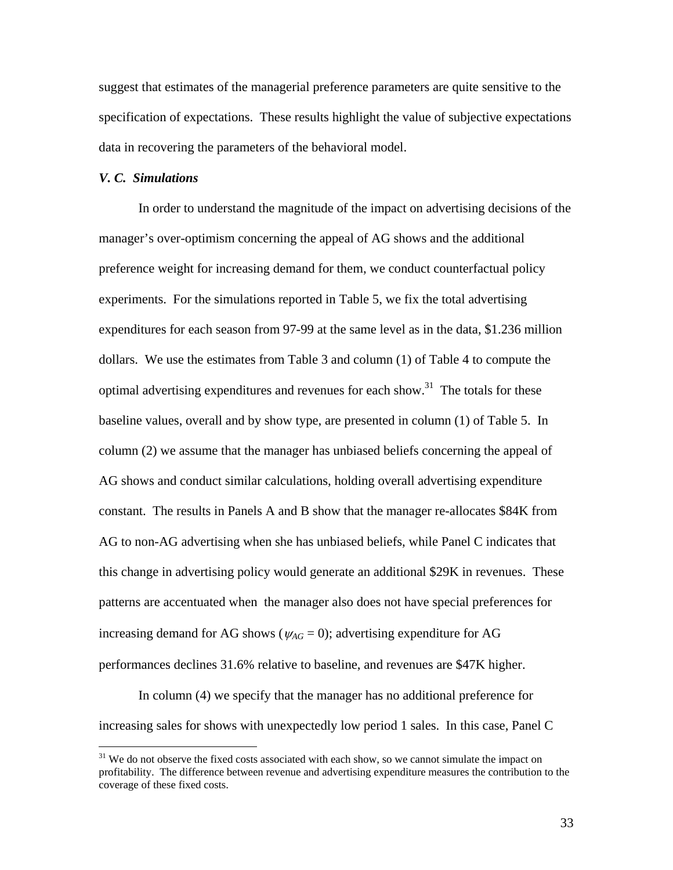suggest that estimates of the managerial preference parameters are quite sensitive to the specification of expectations. These results highlight the value of subjective expectations data in recovering the parameters of the behavioral model.

### *V. C. Simulations*

In order to understand the magnitude of the impact on advertising decisions of the manager's over-optimism concerning the appeal of AG shows and the additional preference weight for increasing demand for them, we conduct counterfactual policy experiments. For the simulations reported in Table 5, we fix the total advertising expenditures for each season from 97-99 at the same level as in the data, \$1.236 million dollars. We use the estimates from Table 3 and column (1) of Table 4 to compute the optimal advertising expenditures and revenues for each show.<sup>31</sup> The totals for these baseline values, overall and by show type, are presented in column (1) of Table 5. In column (2) we assume that the manager has unbiased beliefs concerning the appeal of AG shows and conduct similar calculations, holding overall advertising expenditure constant. The results in Panels A and B show that the manager re-allocates \$84K from AG to non-AG advertising when she has unbiased beliefs, while Panel C indicates that this change in advertising policy would generate an additional \$29K in revenues. These patterns are accentuated when the manager also does not have special preferences for increasing demand for AG shows ( $\psi_{AG} = 0$ ); advertising expenditure for AG performances declines 31.6% relative to baseline, and revenues are \$47K higher.

In column (4) we specify that the manager has no additional preference for increasing sales for shows with unexpectedly low period 1 sales. In this case, Panel C

<sup>&</sup>lt;sup>31</sup> We do not observe the fixed costs associated with each show, so we cannot simulate the impact on profitability. The difference between revenue and advertising expenditure measures the contribution to the coverage of these fixed costs.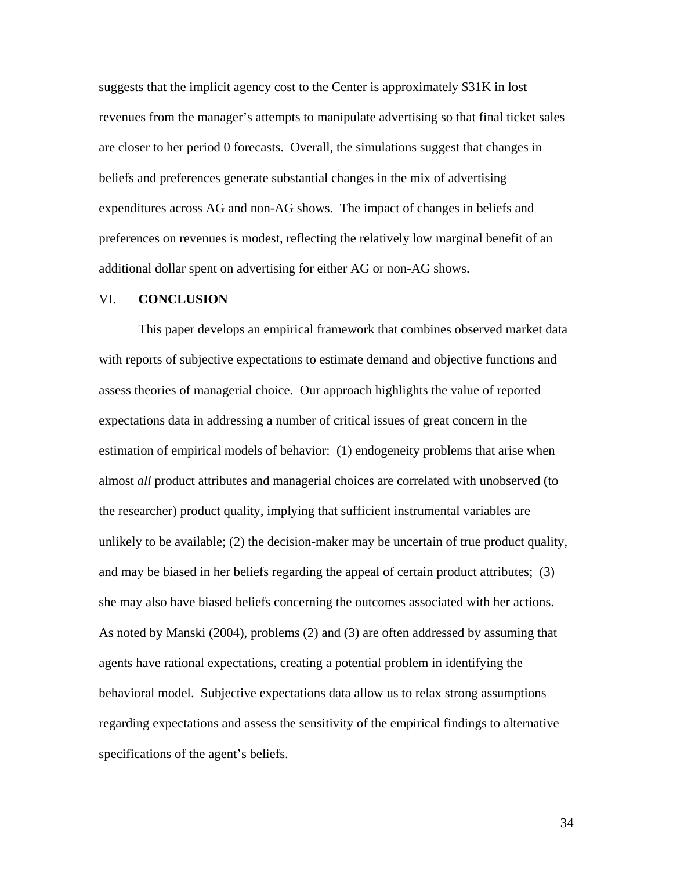suggests that the implicit agency cost to the Center is approximately \$31K in lost revenues from the manager's attempts to manipulate advertising so that final ticket sales are closer to her period 0 forecasts. Overall, the simulations suggest that changes in beliefs and preferences generate substantial changes in the mix of advertising expenditures across AG and non-AG shows. The impact of changes in beliefs and preferences on revenues is modest, reflecting the relatively low marginal benefit of an additional dollar spent on advertising for either AG or non-AG shows.

#### VI. **CONCLUSION**

This paper develops an empirical framework that combines observed market data with reports of subjective expectations to estimate demand and objective functions and assess theories of managerial choice. Our approach highlights the value of reported expectations data in addressing a number of critical issues of great concern in the estimation of empirical models of behavior: (1) endogeneity problems that arise when almost *all* product attributes and managerial choices are correlated with unobserved (to the researcher) product quality, implying that sufficient instrumental variables are unlikely to be available; (2) the decision-maker may be uncertain of true product quality, and may be biased in her beliefs regarding the appeal of certain product attributes; (3) she may also have biased beliefs concerning the outcomes associated with her actions. As noted by Manski (2004), problems (2) and (3) are often addressed by assuming that agents have rational expectations, creating a potential problem in identifying the behavioral model. Subjective expectations data allow us to relax strong assumptions regarding expectations and assess the sensitivity of the empirical findings to alternative specifications of the agent's beliefs.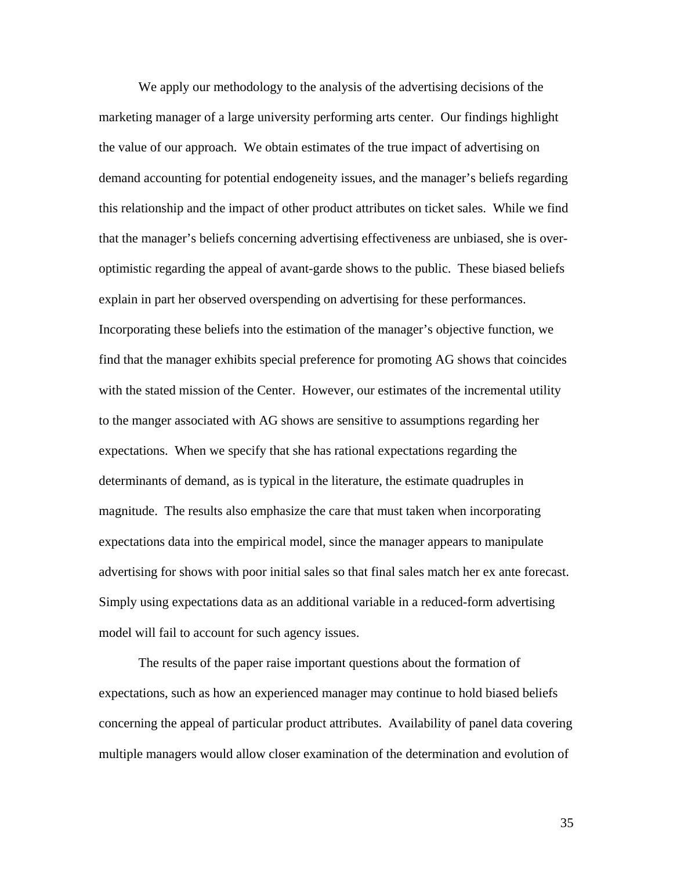We apply our methodology to the analysis of the advertising decisions of the marketing manager of a large university performing arts center. Our findings highlight the value of our approach. We obtain estimates of the true impact of advertising on demand accounting for potential endogeneity issues, and the manager's beliefs regarding this relationship and the impact of other product attributes on ticket sales. While we find that the manager's beliefs concerning advertising effectiveness are unbiased, she is overoptimistic regarding the appeal of avant-garde shows to the public. These biased beliefs explain in part her observed overspending on advertising for these performances. Incorporating these beliefs into the estimation of the manager's objective function, we find that the manager exhibits special preference for promoting AG shows that coincides with the stated mission of the Center. However, our estimates of the incremental utility to the manger associated with AG shows are sensitive to assumptions regarding her expectations. When we specify that she has rational expectations regarding the determinants of demand, as is typical in the literature, the estimate quadruples in magnitude. The results also emphasize the care that must taken when incorporating expectations data into the empirical model, since the manager appears to manipulate advertising for shows with poor initial sales so that final sales match her ex ante forecast. Simply using expectations data as an additional variable in a reduced-form advertising model will fail to account for such agency issues.

The results of the paper raise important questions about the formation of expectations, such as how an experienced manager may continue to hold biased beliefs concerning the appeal of particular product attributes. Availability of panel data covering multiple managers would allow closer examination of the determination and evolution of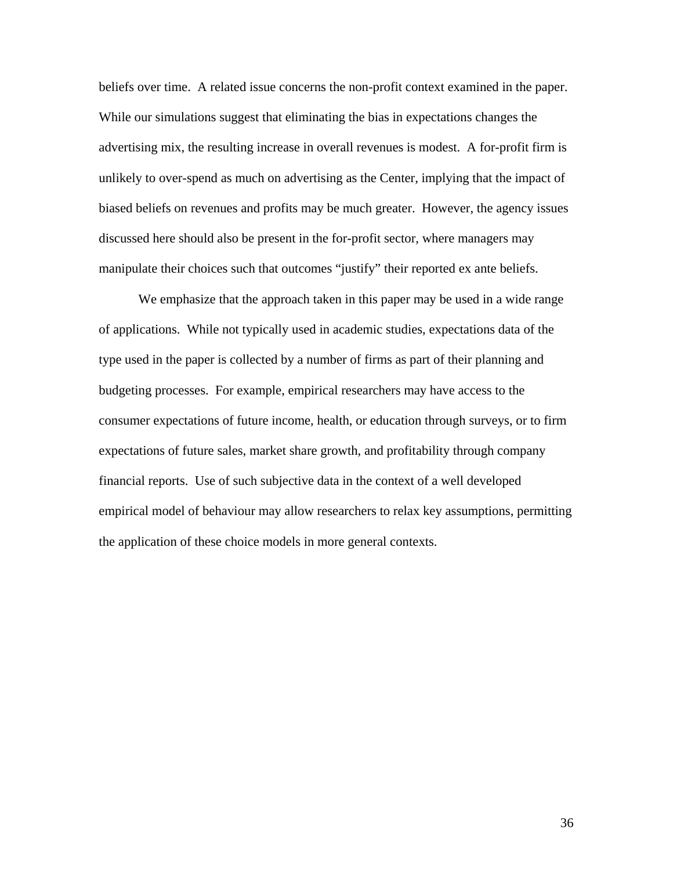beliefs over time. A related issue concerns the non-profit context examined in the paper. While our simulations suggest that eliminating the bias in expectations changes the advertising mix, the resulting increase in overall revenues is modest. A for-profit firm is unlikely to over-spend as much on advertising as the Center, implying that the impact of biased beliefs on revenues and profits may be much greater. However, the agency issues discussed here should also be present in the for-profit sector, where managers may manipulate their choices such that outcomes "justify" their reported ex ante beliefs.

We emphasize that the approach taken in this paper may be used in a wide range of applications. While not typically used in academic studies, expectations data of the type used in the paper is collected by a number of firms as part of their planning and budgeting processes. For example, empirical researchers may have access to the consumer expectations of future income, health, or education through surveys, or to firm expectations of future sales, market share growth, and profitability through company financial reports. Use of such subjective data in the context of a well developed empirical model of behaviour may allow researchers to relax key assumptions, permitting the application of these choice models in more general contexts.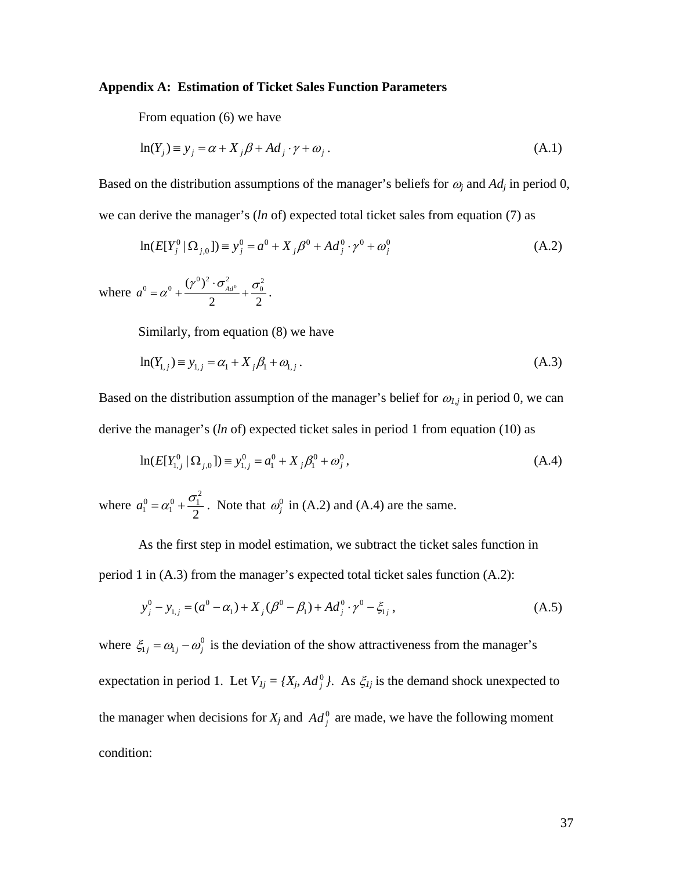#### **Appendix A: Estimation of Ticket Sales Function Parameters**

From equation (6) we have

$$
\ln(Y_j) \equiv y_j = \alpha + X_j \beta + Ad_j \cdot \gamma + \omega_j. \tag{A.1}
$$

Based on the distribution assumptions of the manager's beliefs for  $\omega_i$  and  $Ad_i$  in period 0, we can derive the manager's (*ln* of) expected total ticket sales from equation (7) as

$$
\ln(E[Y_j^0 \mid \Omega_{j,0}]) = y_j^0 = a^0 + X_j \beta^0 + Ad_j^0 \cdot \gamma^0 + \omega_j^0
$$
\n(A.2)

where  $a^0 = \alpha^0 + \frac{(y^0)^2 \cdot \sigma_{Ad}^2}{2} + \frac{\sigma_0^2}{2}$ 2 2  $a^0 = \alpha^0 + \frac{(\gamma^0)^2 \cdot \sigma_{Ad}^2}{2} + \frac{\sigma_0^2}{2}$ .

Similarly, from equation (8) we have

$$
\ln(Y_{1,j}) \equiv y_{1,j} = \alpha_1 + X_j \beta_1 + \omega_{1,j} \,. \tag{A.3}
$$

Based on the distribution assumption of the manager's belief for  $\omega_{1,j}$  in period 0, we can derive the manager's (*ln* of) expected ticket sales in period 1 from equation (10) as

$$
\ln(E[Y_{1,j}^0 \mid \Omega_{j,0}]) \equiv y_{1,j}^0 = a_1^0 + X_j \beta_1^0 + \omega_j^0,
$$
\n(A.4)

where  $a_1^0 = \alpha_1^0 + \frac{\sigma_1^2}{2}$ . Note that  $\omega_j^0$  in (A.2) and (A.4) are the same.

As the first step in model estimation, we subtract the ticket sales function in period 1 in (A.3) from the manager's expected total ticket sales function (A.2):

$$
y_j^0 - y_{1,j} = (a^0 - \alpha_1) + X_j(\beta^0 - \beta_1) + Ad_j^0 \cdot \gamma^0 - \xi_{1j},
$$
\n(A.5)

where  $\xi_{1j} = \omega_{1j} - \omega_j^0$  is the deviation of the show attractiveness from the manager's expectation in period 1. Let  $V_{1j} = \{X_j, Ad_j^0\}$ . As  $\xi_{1j}$  is the demand shock unexpected to the manager when decisions for  $X_j$  and  $Ad_j^0$  are made, we have the following moment condition: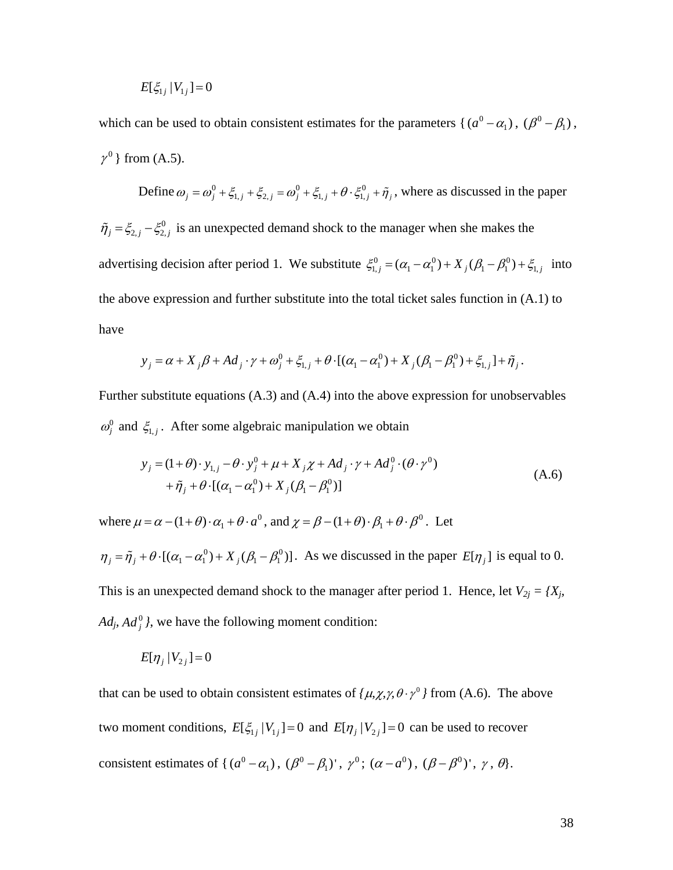$$
E[\xi_{1j} | V_{1j}] = 0
$$

which can be used to obtain consistent estimates for the parameters { $(a^0 - \alpha_1)$ ,  $(\beta^0 - \beta_1)$ ,  $\gamma^0$  } from (A.5).

Define  $\omega_j = \omega_j^0 + \xi_{1,j} + \xi_{2,j} = \omega_j^0 + \xi_{1,j} + \theta \cdot \xi_{1,j}^0 + \tilde{\eta}_j$ , where as discussed in the paper  $\tilde{\eta}_j = \xi_{2,j} - \xi_{2,j}^0$  is an unexpected demand shock to the manager when she makes the advertising decision after period 1. We substitute  $\xi_{1,j}^0 = (\alpha_1 - \alpha_1^0) + X_j(\beta_1 - \beta_1^0) + \xi_{1,j}$  into the above expression and further substitute into the total ticket sales function in (A.1) to have

$$
y_j = \alpha + X_j \beta + Ad_j \cdot \gamma + \omega_j^0 + \xi_{1,j} + \theta \cdot [(\alpha_1 - \alpha_1^0) + X_j (\beta_1 - \beta_1^0) + \xi_{1,j}] + \tilde{\eta}_j.
$$

Further substitute equations (A.3) and (A.4) into the above expression for unobservables  $\omega_j^0$  and  $\xi_{1,j}$ . After some algebraic manipulation we obtain

$$
y_j = (1+\theta) \cdot y_{1,j} - \theta \cdot y_j^0 + \mu + X_j \chi + Ad_j \cdot \gamma + Ad_j^0 \cdot (\theta \cdot \gamma^0)
$$
  
+  $\tilde{\eta}_j + \theta \cdot [(\alpha_1 - \alpha_1^0) + X_j (\beta_1 - \beta_1^0)]$  (A.6)

where  $\mu = \alpha - (1 + \theta) \cdot \alpha_1 + \theta \cdot a^0$ , and  $\chi = \beta - (1 + \theta) \cdot \beta_1 + \theta \cdot \beta^0$ . Let

 $\eta_j = \tilde{\eta}_j + \theta \cdot [(\alpha_1 - \alpha_1^0) + X_j(\beta_1 - \beta_1^0)]$ . As we discussed in the paper  $E[\eta_j]$  is equal to 0. This is an unexpected demand shock to the manager after period 1. Hence, let  $V_{2j} = \{X_j, Y_j\}$  $Ad<sub>j</sub>$ ,  $Ad<sup>0</sup><sub>j</sub>$ , we have the following moment condition:

$$
E[\eta_j | V_{2j}] = 0
$$

that can be used to obtain consistent estimates of  $\{\mu, \chi, \gamma, \theta \cdot \gamma^0\}$  from (A.6). The above two moment conditions,  $E[\xi_{1j} | V_{1j}] = 0$  and  $E[\eta_j | V_{2j}] = 0$  can be used to recover consistent estimates of { $(a^0 - \alpha_1)$ ,  $(\beta^0 - \beta_1)'$ ,  $\gamma^0$ ;  $(\alpha - a^0)$ ,  $(\beta - \beta^0)'$ ,  $\gamma$ ,  $\theta$ }.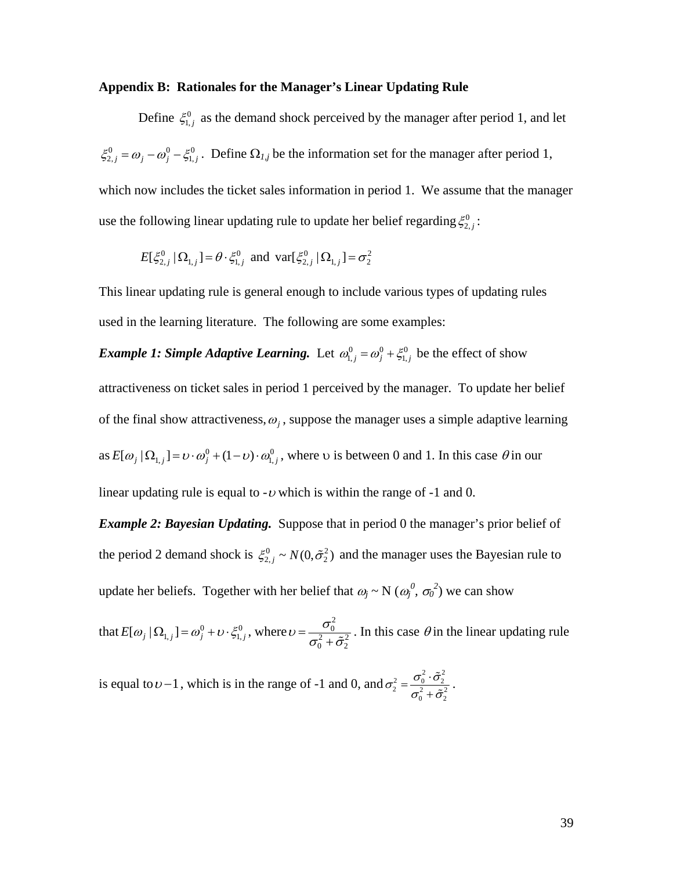#### **Appendix B: Rationales for the Manager's Linear Updating Rule**

Define  $\xi_{1,j}^0$  as the demand shock perceived by the manager after period 1, and let  $\xi_{2,j}^0 = \omega_j - \omega_j^0 - \xi_{1,j}^0$ . Define  $\Omega_{1,j}$  be the information set for the manager after period 1, which now includes the ticket sales information in period 1. We assume that the manager use the following linear updating rule to update her belief regarding  $\xi_{2,j}^0$ :

$$
E[\xi_{2,j}^{0} | \Omega_{1,j}] = \theta \cdot \xi_{1,j}^{0} \text{ and } \text{var}[\xi_{2,j}^{0} | \Omega_{1,j}] = \sigma_2^{2}
$$

This linear updating rule is general enough to include various types of updating rules used in the learning literature. The following are some examples:

*Example 1: Simple Adaptive Learning.* Let  $\omega_{1,j}^0 = \omega_j^0 + \xi_{1,j}^0$  be the effect of show attractiveness on ticket sales in period 1 perceived by the manager. To update her belief of the final show attractiveness,  $\omega_i$ , suppose the manager uses a simple adaptive learning as  $E[\omega_j | \Omega_{1,j}] = v \cdot \omega_j^0 + (1 - v) \cdot \omega_{1,j}^0$ , where v is between 0 and 1. In this case  $\theta$  in our linear updating rule is equal to  $-v$  which is within the range of  $-1$  and 0.

*Example 2: Bayesian Updating.* Suppose that in period 0 the manager's prior belief of the period 2 demand shock is  $\zeta_{2,j}^0 \sim N(0, \tilde{\sigma}_2^2)$  and the manager uses the Bayesian rule to update her beliefs. Together with her belief that  $\omega_j \sim N(\omega_j^0, \sigma_0^2)$  we can show

that  $E[\omega_j | \Omega_{1,j}] = \omega_j^0 + \nu \cdot \xi_{1,j}^0$ , where  $\nu = \frac{\sigma_0^2}{\sigma_0^2}$  $^{2}_{0}+\tilde{\sigma}_{2}^{2}$  $v = \frac{\sigma_0^2}{\sigma_0^2 + \tilde{\sigma}_2^2}$ . In this case  $\theta$  in the linear updating rule

is equal to  $\nu$  – 1, which is in the range of -1 and 0, and  $\sigma_2^2 = \frac{\sigma_0^2 \cdot \tilde{\sigma}_2^2}{\sigma_0^2 + \tilde{\sigma}_2^2}$  $\sigma_0^2 = \frac{\sigma_0 \cdot \sigma_1}{\sigma_0}$  $= \frac{\sigma_0^2 \cdot \tilde \sigma_2^2}{\sigma_0^2 + \tilde \sigma_2^2} \,.$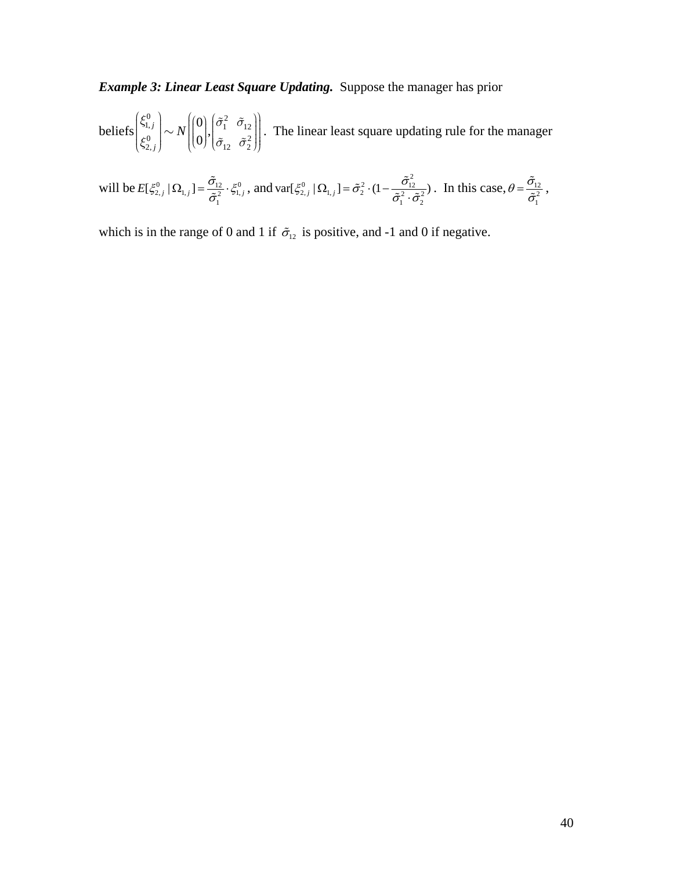*Example 3: Linear Least Square Updating.* Suppose the manager has prior

beliefs  $\left|\int_{0}^{31.7} |\sim N||\right|$ ,  $\left|\int_{0}^{31.7}$ ,  $\left|\frac{1}{2}\right|$ . The linear least square updating rule for the manager  $\begin{pmatrix} 0 \\ 1, j \end{pmatrix}$   $\mathbf{v}$   $\begin{pmatrix} 0 \\ 0 \end{pmatrix}$   $\begin{pmatrix} \tilde{\sigma}_1^2 & \tilde{\sigma}_{12} \end{pmatrix}$  $\begin{bmatrix} 0 \ 0 \ 0 \ 2, j \end{bmatrix} \sim N \begin{bmatrix} 0 \ 0 \end{bmatrix}, \begin{bmatrix} \tilde{\sigma}_1^2 & \tilde{\sigma}_{12} \ \tilde{\sigma}_{12} & \tilde{\sigma}_2^2 \end{bmatrix}$ *j*  $\left\langle \xi_{1,j}^0 \right\rangle \sim N$  $\left| \begin{pmatrix} 0 \\ 0 \end{pmatrix}$ , $\left| \tilde{\sigma}_1^2 \right| \tilde{\sigma}_2$  $\begin{pmatrix} \xi_{1,j}^{0} \\ \xi_{2,j}^{0} \end{pmatrix} \sim N \begin{pmatrix} 0 \\ 0 \end{pmatrix}, \begin{pmatrix} \tilde{\sigma}_{1}^{2} & \tilde{\sigma}_{12} \\ \tilde{\sigma}_{12} & \tilde{\sigma}_{2}^{2} \end{pmatrix}$ 

will be  $E[\xi_{2,j}^0 | \Omega_{1,j}] = \frac{\sigma_{12}}{\tilde{\sigma}_1^2} \cdot \xi_{1,j}^0$  $E[\xi_{2,j}^0 | \Omega_{1,j}] = \frac{\tilde{\sigma}_{12}}{\tilde{\sigma}_1^2} \cdot \xi_{1,j}^0$ , and var $[\xi_{2,j}^0 | \Omega_{1,j}] = \tilde{\sigma}_2^2 \cdot (1 - \frac{\tilde{\sigma}_{12}^2}{\tilde{\sigma}_1^2} \cdot \tilde{\sigma}_2^2$  $var[\xi_{2,j}^0 | \Omega_{1,j}] = \tilde{\sigma}_2^2 \cdot (1 - \frac{\tilde{\sigma}_{12}^2}{\tilde{\sigma}_1^2 \cdot \tilde{\sigma}_2^2})$ . In this case,  $\theta = \frac{\tilde{\sigma}_{12}}{\tilde{\sigma}_1^2}$  $\theta = \frac{\tilde{\sigma}_{12}}{\tilde{\sigma}_1^2}$ ,

which is in the range of 0 and 1 if  $\tilde{\sigma}_{12}$  is positive, and -1 and 0 if negative.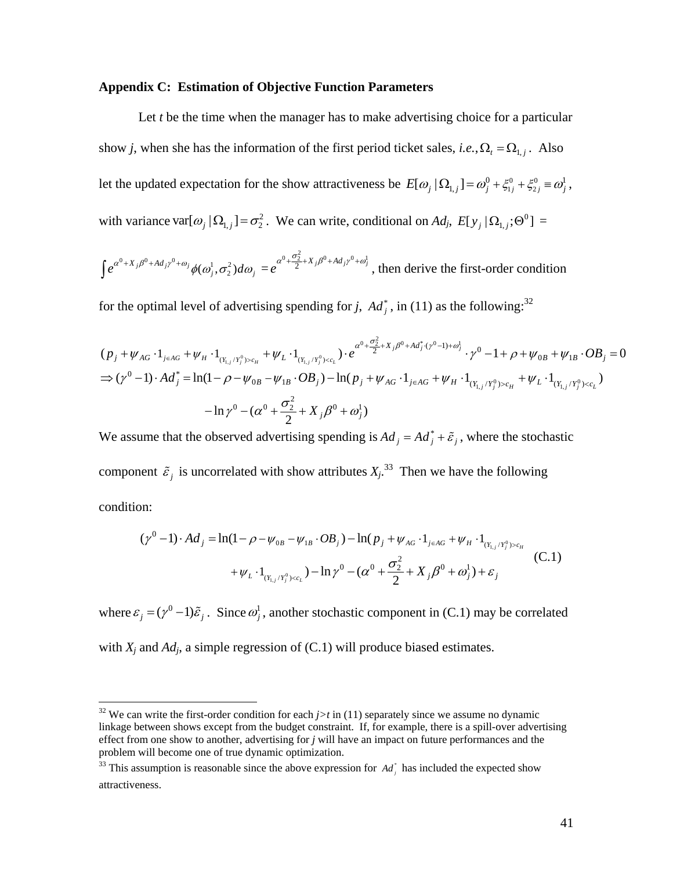#### **Appendix C: Estimation of Objective Function Parameters**

Let *t* be the time when the manager has to make advertising choice for a particular show *j*, when she has the information of the first period ticket sales, *i.e.*,  $\Omega_t = \Omega_{1,j}$ . Also let the updated expectation for the show attractiveness be  $E[\omega_j | \Omega_{1,j}] = \omega_j^0 + \xi_{1j}^0 + \xi_{2j}^0 = \omega_j^1$ , with variance var $[\omega_j | \Omega_{1,j}] = \sigma_2^2$ . We can write, conditional on *Ad<sub>j</sub>*,  $E[y_j | \Omega_{1,j}; \Theta^0] =$ 

 $^{0}+X_{j}\beta^{0}+Ad_{j}\gamma^{0}+\omega_{j}\phi(\omega_{j}^{1},\sigma_{2}^{2})d\omega_{j}$  $\int e^{\alpha^0+X_j\beta^0+Ad_j\gamma^0+\omega_j}\phi(\omega^1_j,\sigma^2_2)d\omega_j=$  $e^{\alpha^0 + \frac{\sigma_2^2}{2} + X_j \beta^0 + Ad_j \gamma^0 + \omega_j^1}$ , then derive the first-order condition

for the optimal level of advertising spending for *j*,  $Ad<sup>*</sup><sub>j</sub>$ , in (11) as the following:<sup>32</sup>

$$
(p_j + \psi_{AG} \cdot 1_{j \in AG} + \psi_H \cdot 1_{(Y_{1,j}/Y_j^0) > c_H} + \psi_L \cdot 1_{(Y_{1,j}/Y_j^0) < c_L}) \cdot e^{\alpha^0 + \frac{\sigma_2^2}{2} + X_j \beta^0 + Ad_j^*(\gamma^0 - 1) + \omega_j^1} \cdot \gamma^0 - 1 + \rho + \psi_{0B} + \psi_{1B} \cdot OB_j = 0
$$
  
\n
$$
\Rightarrow (\gamma^0 - 1) \cdot Ad_j^* = \ln(1 - \rho - \psi_{0B} - \psi_{1B} \cdot OB_j) - \ln(p_j + \psi_{AG} \cdot 1_{j \in AG} + \psi_H \cdot 1_{(Y_{1,j}/Y_j^0) > c_H} + \psi_L \cdot 1_{(Y_{1,j}/Y_j^0) < c_L})
$$
  
\n
$$
- \ln \gamma^0 - (\alpha^0 + \frac{\sigma_2^2}{2} + X_j \beta^0 + \omega_j^1)
$$

We assume that the observed advertising spending is  $Ad_j = Ad_j^* + \tilde{\varepsilon}_j$ , where the stochastic component  $\tilde{\varepsilon}_j$  is uncorrelated with show attributes  $X_j$ .<sup>33</sup> Then we have the following condition:

$$
(\gamma^{0} - 1) \cdot Ad_{j} = \ln(1 - \rho - \psi_{0B} - \psi_{1B} \cdot OB_{j}) - \ln(p_{j} + \psi_{AG} \cdot 1_{j \in AG} + \psi_{H} \cdot 1_{(Y_{1,j}/Y_{j}^{0}) > c_{H}}
$$
  
+  $\psi_{L} \cdot 1_{(Y_{1,j}/Y_{j}^{0}) > c_{L}} - \ln \gamma^{0} - (\alpha^{0} + \frac{\sigma_{2}^{2}}{2} + X_{j}\beta^{0} + \omega_{j}^{1}) + \varepsilon_{j}$  (C.1)

where  $\varepsilon_i = (\gamma^0 - 1)\tilde{\varepsilon}_i$ . Since  $\omega_i^1$ , another stochastic component in (C.1) may be correlated

with  $X_i$  and  $Ad_i$ , a simple regression of  $(C.1)$  will produce biased estimates.

<sup>&</sup>lt;sup>32</sup> We can write the first-order condition for each  $j>t$  in (11) separately since we assume no dynamic linkage between shows except from the budget constraint. If, for example, there is a spill-over advertising effect from one show to another, advertising for *j* will have an impact on future performances and the problem will become one of true dynamic optimization.

<sup>&</sup>lt;sup>33</sup> This assumption is reasonable since the above expression for  $Ad<sub>j</sub><sup>*</sup>$  has included the expected show attractiveness.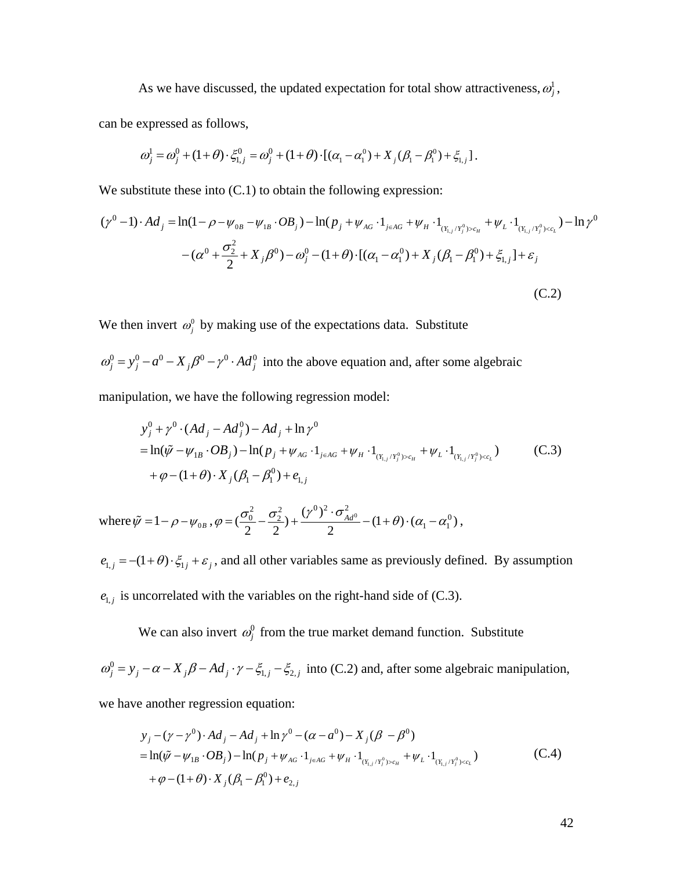As we have discussed, the updated expectation for total show attractiveness,  $\omega_j^j$ ,

can be expressed as follows,

$$
\omega_j^1 = \omega_j^0 + (1+\theta) \cdot \xi_{1,j}^0 = \omega_j^0 + (1+\theta) \cdot [(\alpha_1 - \alpha_1^0) + X_j(\beta_1 - \beta_1^0) + \xi_{1,j}].
$$

We substitute these into  $(C.1)$  to obtain the following expression:

$$
(\gamma^{0} - 1) \cdot Ad_{j} = \ln(1 - \rho - \psi_{0B} - \psi_{1B} \cdot OB_{j}) - \ln(p_{j} + \psi_{AG} \cdot 1_{j \in AG} + \psi_{H} \cdot 1_{(Y_{1,j}/Y_{j}^{0}) > c_{H}} + \psi_{L} \cdot 1_{(Y_{1,j}/Y_{j}^{0}) > c_{L}}) - \ln \gamma^{0}
$$

$$
-(\alpha^{0} + \frac{\sigma_{2}^{2}}{2} + X_{j}\beta^{0}) - \omega_{j}^{0} - (1 + \theta) \cdot [(\alpha_{1} - \alpha_{1}^{0}) + X_{j}(\beta_{1} - \beta_{1}^{0}) + \xi_{1,j}] + \varepsilon_{j}
$$
(C.2)

We then invert  $\omega_i^0$  by making use of the expectations data. Substitute

 $\omega_j^0 = y_j^0 - a^0 - X_j \beta^0 - \gamma^0 \cdot Ad_j^0$  into the above equation and, after some algebraic

manipulation, we have the following regression model:

$$
y_j^0 + \gamma^0 \cdot (Ad_j - Ad_j^0) - Ad_j + \ln \gamma^0
$$
  
=  $\ln(\tilde{\psi} - \psi_{1B} \cdot OB_j) - \ln(p_j + \psi_{AG} \cdot 1_{j \in AG} + \psi_H \cdot 1_{(Y_{1,j}/Y_j^0) > c_H} + \psi_L \cdot 1_{(Y_{1,j}/Y_j^0) > c_L})$  (C.3)  
+  $\varphi - (1 + \theta) \cdot X_j (\beta_1 - \beta_1^0) + e_{1,j}$ 

where  $\tilde{\psi} = 1 - \rho - \psi_{0B}$ ,  $\varphi = (\frac{\sigma_0^2}{2} - \frac{\sigma_2^2}{2}) + \frac{(\gamma^0)^2 \cdot \sigma_{Ad^0}^2}{2} - (1 + \theta) \cdot (\alpha_1 - \alpha_1^0)$ ,

 $e_{1,j} = -(1 + \theta) \cdot \xi_{1j} + \varepsilon_j$ , and all other variables same as previously defined. By assumption  $e_{1,j}$  is uncorrelated with the variables on the right-hand side of (C.3).

We can also invert  $\omega_j^0$  from the true market demand function. Substitute

 $\omega_j^0 = y_j - \alpha - X_j \beta - Ad_j \cdot \gamma - \xi_{1,j} - \xi_{2,j}$  into (C.2) and, after some algebraic manipulation,

we have another regression equation:

$$
y_j - (\gamma - \gamma^0) \cdot Ad_j - Ad_j + \ln \gamma^0 - (\alpha - a^0) - X_j (\beta - \beta^0)
$$
  
=  $\ln(\tilde{\psi} - \psi_{1B} \cdot OB_j) - \ln(p_j + \psi_{AG} \cdot 1_{j \in AG} + \psi_H \cdot 1_{(Y_{1,j}/Y_j^0) > c_H} + \psi_L \cdot 1_{(Y_{1,j}/Y_j^0) > c_L})$  (C.4)  
+  $\varphi - (1 + \theta) \cdot X_j (\beta_1 - \beta_1^0) + e_{2,j}$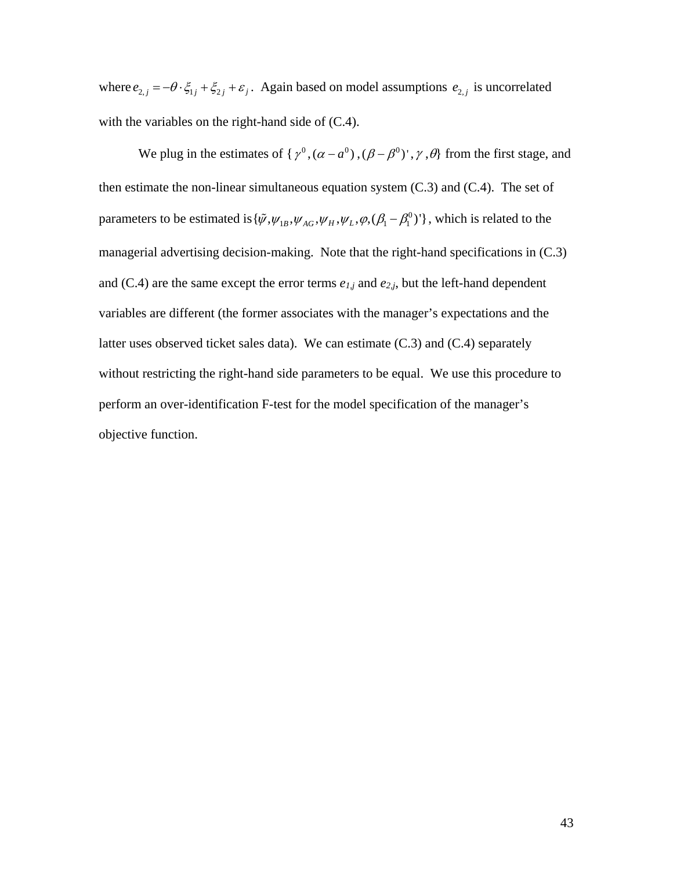where  $e_{2,j} = -\theta \cdot \xi_{1j} + \xi_{2j} + \varepsilon_j$ . Again based on model assumptions  $e_{2,j}$  is uncorrelated with the variables on the right-hand side of  $(C.4)$ .

We plug in the estimates of { $\gamma^0$ ,  $(\alpha - a^0)$ ,  $(\beta - \beta^0)'$ ,  $\gamma$ ,  $\theta$ } from the first stage, and then estimate the non-linear simultaneous equation system (C.3) and (C.4). The set of parameters to be estimated is  $\{\psi, \psi_{1B}, \psi_{AG}, \psi_H, \psi_L, \varphi, (\beta_1 - \beta_1^0)'\}$ , which is related to the managerial advertising decision-making. Note that the right-hand specifications in (C.3) and  $(C.4)$  are the same except the error terms  $e_{1,j}$  and  $e_{2,j}$ , but the left-hand dependent variables are different (the former associates with the manager's expectations and the latter uses observed ticket sales data). We can estimate (C.3) and (C.4) separately without restricting the right-hand side parameters to be equal. We use this procedure to perform an over-identification F-test for the model specification of the manager's objective function.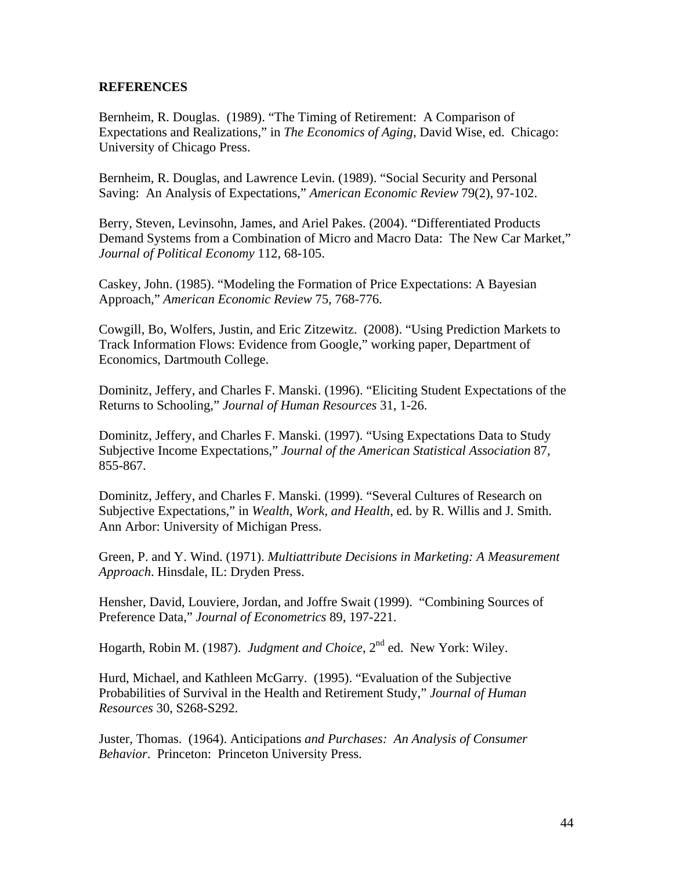# **REFERENCES**

Bernheim, R. Douglas. (1989). "The Timing of Retirement: A Comparison of Expectations and Realizations," in *The Economics of Aging*, David Wise, ed. Chicago: University of Chicago Press.

Bernheim, R. Douglas, and Lawrence Levin. (1989). "Social Security and Personal Saving: An Analysis of Expectations," *American Economic Review* 79(2), 97-102.

Berry, Steven, Levinsohn, James, and Ariel Pakes. (2004). "Differentiated Products Demand Systems from a Combination of Micro and Macro Data: The New Car Market," *Journal of Political Economy* 112, 68-105.

Caskey, John. (1985). "Modeling the Formation of Price Expectations: A Bayesian Approach," *American Economic Review* 75, 768-776.

Cowgill, Bo, Wolfers, Justin, and Eric Zitzewitz. (2008). "Using Prediction Markets to Track Information Flows: Evidence from Google," working paper, Department of Economics, Dartmouth College.

Dominitz, Jeffery, and Charles F. Manski. (1996). "Eliciting Student Expectations of the Returns to Schooling," *Journal of Human Resources* 31, 1-26.

Dominitz, Jeffery, and Charles F. Manski. (1997). "Using Expectations Data to Study Subjective Income Expectations," *Journal of the American Statistical Association* 87, 855-867.

Dominitz, Jeffery, and Charles F. Manski. (1999). "Several Cultures of Research on Subjective Expectations," in *Wealth, Work, and Health*, ed. by R. Willis and J. Smith. Ann Arbor: University of Michigan Press.

Green, P. and Y. Wind. (1971). *Multiattribute Decisions in Marketing: A Measurement Approach*. Hinsdale, IL: Dryden Press.

Hensher, David, Louviere, Jordan, and Joffre Swait (1999). "Combining Sources of Preference Data," *Journal of Econometrics* 89, 197-221.

Hogarth, Robin M. (1987). *Judgment and Choice*, 2<sup>nd</sup> ed. New York: Wiley.

Hurd, Michael, and Kathleen McGarry. (1995). "Evaluation of the Subjective Probabilities of Survival in the Health and Retirement Study," *Journal of Human Resources* 30, S268-S292.

Juster, Thomas. (1964). Anticipations *and Purchases: An Analysis of Consumer Behavior*. Princeton: Princeton University Press.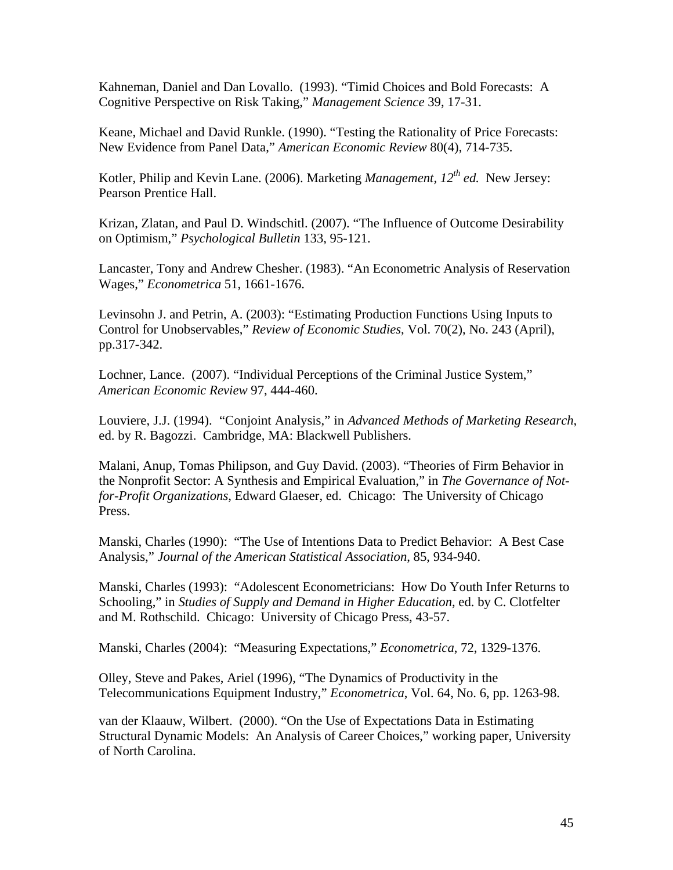Kahneman, Daniel and Dan Lovallo. (1993). "Timid Choices and Bold Forecasts: A Cognitive Perspective on Risk Taking," *Management Science* 39, 17-31.

Keane, Michael and David Runkle. (1990). "Testing the Rationality of Price Forecasts: New Evidence from Panel Data," *American Economic Review* 80(4), 714-735.

Kotler, Philip and Kevin Lane. (2006). Marketing *Management, 12th ed.* New Jersey: Pearson Prentice Hall.

Krizan, Zlatan, and Paul D. Windschitl. (2007). "The Influence of Outcome Desirability on Optimism," *Psychological Bulletin* 133, 95-121.

Lancaster, Tony and Andrew Chesher. (1983). "An Econometric Analysis of Reservation Wages," *Econometrica* 51, 1661-1676.

Levinsohn J. and Petrin, A. (2003): "Estimating Production Functions Using Inputs to Control for Unobservables," *Review of Economic Studies*, Vol. 70(2), No. 243 (April), pp.317-342.

Lochner, Lance. (2007). "Individual Perceptions of the Criminal Justice System," *American Economic Review* 97, 444-460.

Louviere, J.J. (1994). "Conjoint Analysis," in *Advanced Methods of Marketing Research*, ed. by R. Bagozzi. Cambridge, MA: Blackwell Publishers.

Malani, Anup, Tomas Philipson, and Guy David. (2003). "Theories of Firm Behavior in the Nonprofit Sector: A Synthesis and Empirical Evaluation," in *The Governance of Notfor-Profit Organizations*, Edward Glaeser, ed. Chicago: The University of Chicago Press.

Manski, Charles (1990): "The Use of Intentions Data to Predict Behavior: A Best Case Analysis," *Journal of the American Statistical Association*, 85, 934-940.

Manski, Charles (1993): "Adolescent Econometricians: How Do Youth Infer Returns to Schooling," in *Studies of Supply and Demand in Higher Education*, ed. by C. Clotfelter and M. Rothschild. Chicago: University of Chicago Press, 43-57.

Manski, Charles (2004): "Measuring Expectations," *Econometrica*, 72, 1329-1376.

Olley, Steve and Pakes, Ariel (1996), "The Dynamics of Productivity in the Telecommunications Equipment Industry," *Econometrica*, Vol. 64, No. 6, pp. 1263-98.

van der Klaauw, Wilbert. (2000). "On the Use of Expectations Data in Estimating Structural Dynamic Models: An Analysis of Career Choices," working paper, University of North Carolina.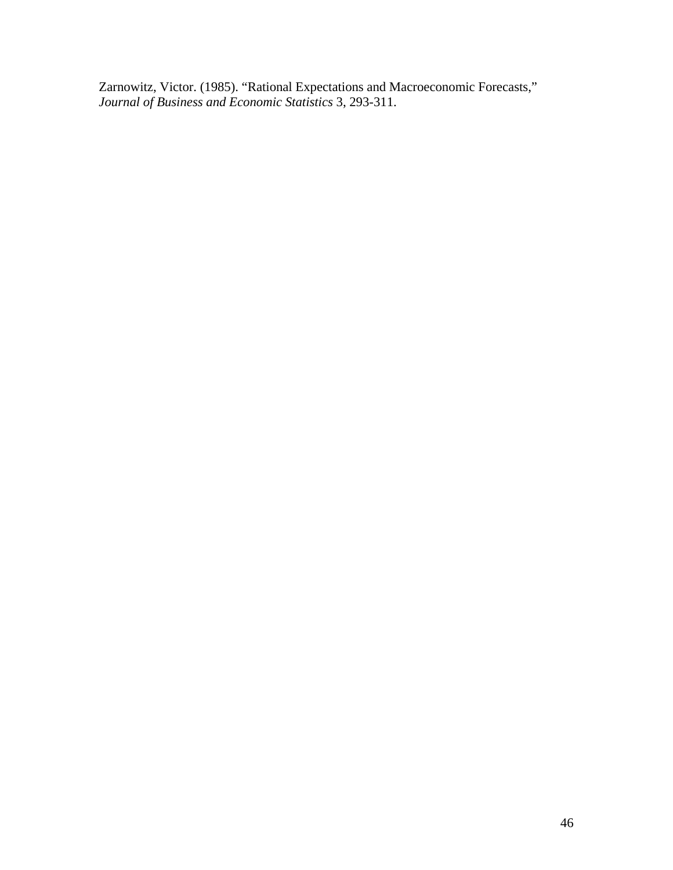Zarnowitz, Victor. (1985). "Rational Expectations and Macroeconomic Forecasts," *Journal of Business and Economic Statistics* 3, 293-311.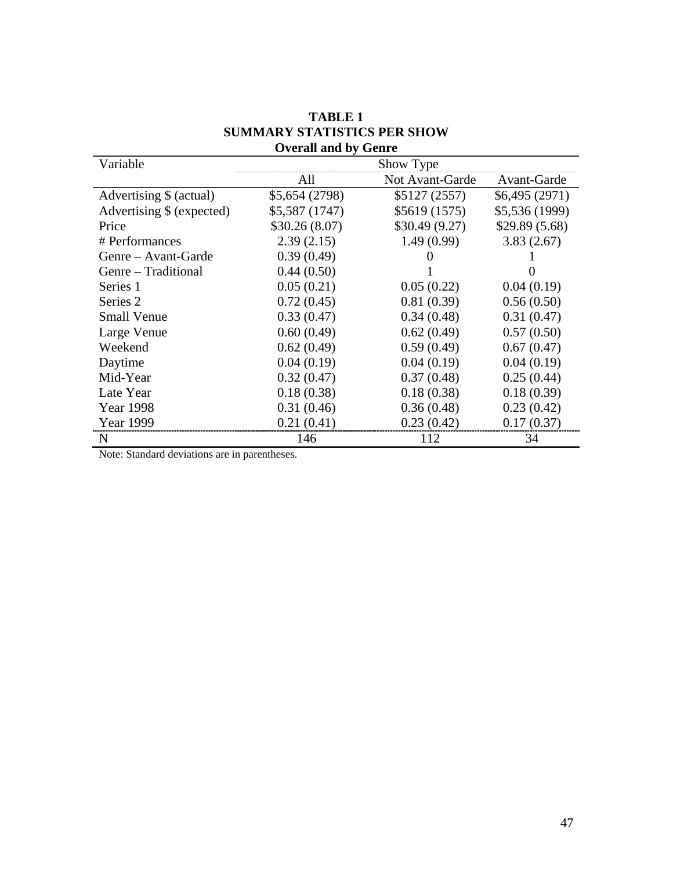| Variable                  | Show Type      |                 |                |  |
|---------------------------|----------------|-----------------|----------------|--|
|                           | All            | Not Avant-Garde | Avant-Garde    |  |
| Advertising \$ (actual)   | \$5,654 (2798) | \$5127 (2557)   | \$6,495(2971)  |  |
| Advertising \$ (expected) | \$5,587 (1747) | \$5619 (1575)   | \$5,536 (1999) |  |
| Price                     | \$30.26(8.07)  | \$30.49(9.27)   | \$29.89(5.68)  |  |
| # Performances            | 2.39(2.15)     | 1.49(0.99)      | 3.83(2.67)     |  |
| Genre – Avant-Garde       | 0.39(0.49)     |                 |                |  |
| Genre – Traditional       | 0.44(0.50)     |                 |                |  |
| Series 1                  | 0.05(0.21)     | 0.05(0.22)      | 0.04(0.19)     |  |
| Series <sub>2</sub>       | 0.72(0.45)     | 0.81(0.39)      | 0.56(0.50)     |  |
| <b>Small Venue</b>        | 0.33(0.47)     | 0.34(0.48)      | 0.31(0.47)     |  |
| Large Venue               | 0.60(0.49)     | 0.62(0.49)      | 0.57(0.50)     |  |
| Weekend                   | 0.62(0.49)     | 0.59(0.49)      | 0.67(0.47)     |  |
| Daytime                   | 0.04(0.19)     | 0.04(0.19)      | 0.04(0.19)     |  |
| Mid-Year                  | 0.32(0.47)     | 0.37(0.48)      | 0.25(0.44)     |  |
| Late Year                 | 0.18(0.38)     | 0.18(0.38)      | 0.18(0.39)     |  |
| Year 1998                 | 0.31(0.46)     | 0.36(0.48)      | 0.23(0.42)     |  |
| <b>Year 1999</b>          | 0.21(0.41)     | 0.23(0.42)      | 0.17(0.37)     |  |
| N                         | 146            | 112             | 34             |  |

# **TABLE 1 SUMMARY STATISTICS PER SHOW Overall and by Genre**

Note: Standard deviations are in parentheses.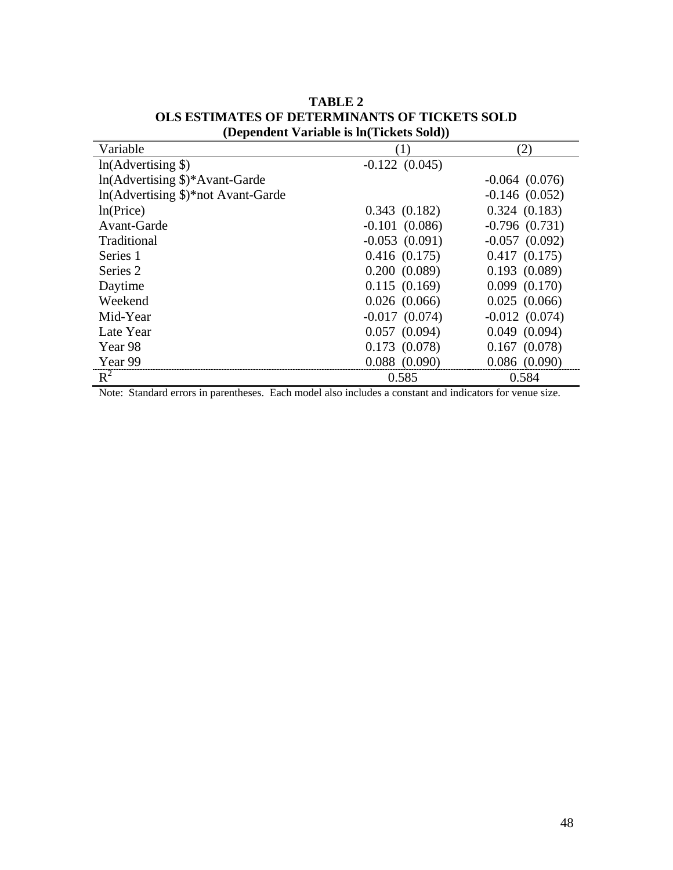| $\Omega$                                    |                    |                    |  |  |  |
|---------------------------------------------|--------------------|--------------------|--|--|--|
| Variable                                    | (1)                | (2)                |  |  |  |
| $ln(Advertising \$                          | $-0.122(0.045)$    |                    |  |  |  |
| $ln(A$ dvertising $\frac{1}{2}$ Avant-Garde |                    | $-0.064(0.076)$    |  |  |  |
| In(Advertising \$)*not Avant-Garde          |                    | $-0.146(0.052)$    |  |  |  |
| ln(Price)                                   | 0.343(0.182)       | 0.324(0.183)       |  |  |  |
| Avant-Garde                                 | $-0.101$ $(0.086)$ | $-0.796(0.731)$    |  |  |  |
| Traditional                                 | $-0.053(0.091)$    | $-0.057(0.092)$    |  |  |  |
| Series 1                                    | 0.416(0.175)       | 0.417(0.175)       |  |  |  |
| Series 2                                    | 0.200(0.089)       | 0.193(0.089)       |  |  |  |
| Daytime                                     | 0.115(0.169)       | 0.099(0.170)       |  |  |  |
| Weekend                                     | 0.026(0.066)       | 0.025(0.066)       |  |  |  |
| Mid-Year                                    | $-0.017(0.074)$    | $-0.012$ $(0.074)$ |  |  |  |
| Late Year                                   | 0.057(0.094)       | 0.049(0.094)       |  |  |  |
| Year 98                                     | 0.173(0.078)       | 0.167(0.078)       |  |  |  |
| Year 99                                     | $0.088$ $(0.090)$  | 0.086(0.090)       |  |  |  |
| $R^2$                                       | 0.585              | 0.584              |  |  |  |

**TABLE 2 OLS ESTIMATES OF DETERMINANTS OF TICKETS SOLD (Dependent Variable is ln(Tickets Sold))**

Note: Standard errors in parentheses. Each model also includes a constant and indicators for venue size.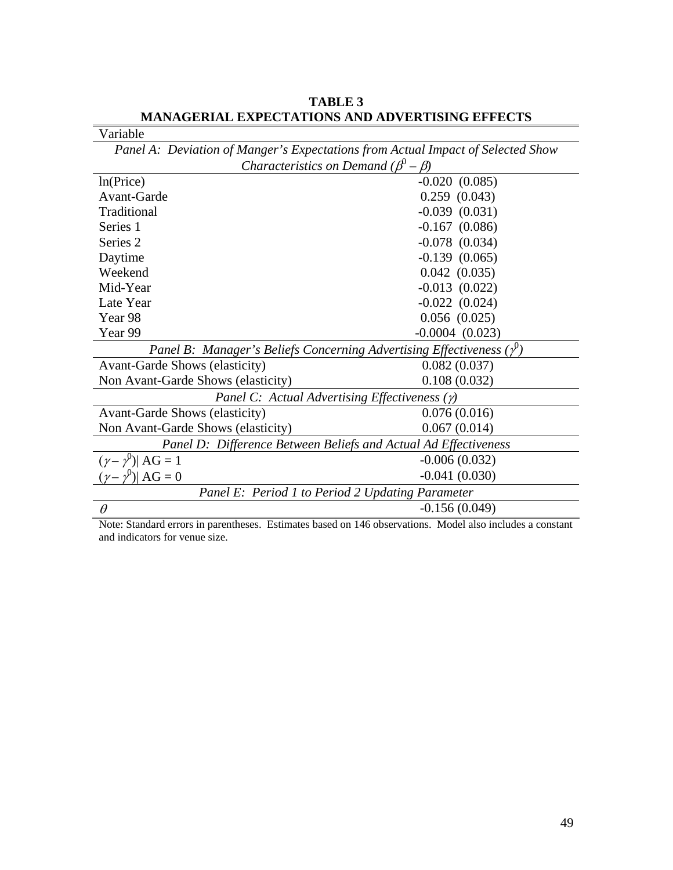| Variable                                                                        |                     |  |  |
|---------------------------------------------------------------------------------|---------------------|--|--|
| Panel A: Deviation of Manger's Expectations from Actual Impact of Selected Show |                     |  |  |
| <i>Characteristics on Demand</i> $(\beta^0 - \beta)$                            |                     |  |  |
| ln(Price)                                                                       | $-0.020(0.085)$     |  |  |
| Avant-Garde                                                                     | $0.259$ $(0.043)$   |  |  |
| Traditional                                                                     | $-0.039$ $(0.031)$  |  |  |
| Series 1                                                                        | $-0.167$ $(0.086)$  |  |  |
| Series <sub>2</sub>                                                             | $-0.078$ $(0.034)$  |  |  |
| Daytime                                                                         | $-0.139(0.065)$     |  |  |
| Weekend                                                                         | 0.042(0.035)        |  |  |
| Mid-Year                                                                        | $-0.013$ $(0.022)$  |  |  |
| Late Year                                                                       | $-0.022$ $(0.024)$  |  |  |
| Year <sub>98</sub>                                                              | $0.056$ $(0.025)$   |  |  |
| Year 99                                                                         | $-0.0004$ $(0.023)$ |  |  |
| Panel B: Manager's Beliefs Concerning Advertising Effectiveness $(y^0)$         |                     |  |  |
| <b>Avant-Garde Shows (elasticity)</b>                                           | 0.082(0.037)        |  |  |
| Non Avant-Garde Shows (elasticity)                                              | 0.108(0.032)        |  |  |
| Panel C: Actual Advertising Effectiveness $(y)$                                 |                     |  |  |
| <b>Avant-Garde Shows (elasticity)</b>                                           | 0.076(0.016)        |  |  |
| Non Avant-Garde Shows (elasticity)                                              | 0.067(0.014)        |  |  |
| Panel D: Difference Between Beliefs and Actual Ad Effectiveness                 |                     |  |  |
| $(\gamma - \gamma^0)$ AG = 1                                                    | $-0.006(0.032)$     |  |  |
| $(\gamma - \gamma^0)$ AG = 0                                                    | $-0.041(0.030)$     |  |  |
| Panel E: Period 1 to Period 2 Updating Parameter                                |                     |  |  |
| $\theta$                                                                        | $-0.156(0.049)$     |  |  |

**TABLE 3 MANAGERIAL EXPECTATIONS AND ADVERTISING EFFECTS**

Note: Standard errors in parentheses. Estimates based on 146 observations. Model also includes a constant and indicators for venue size.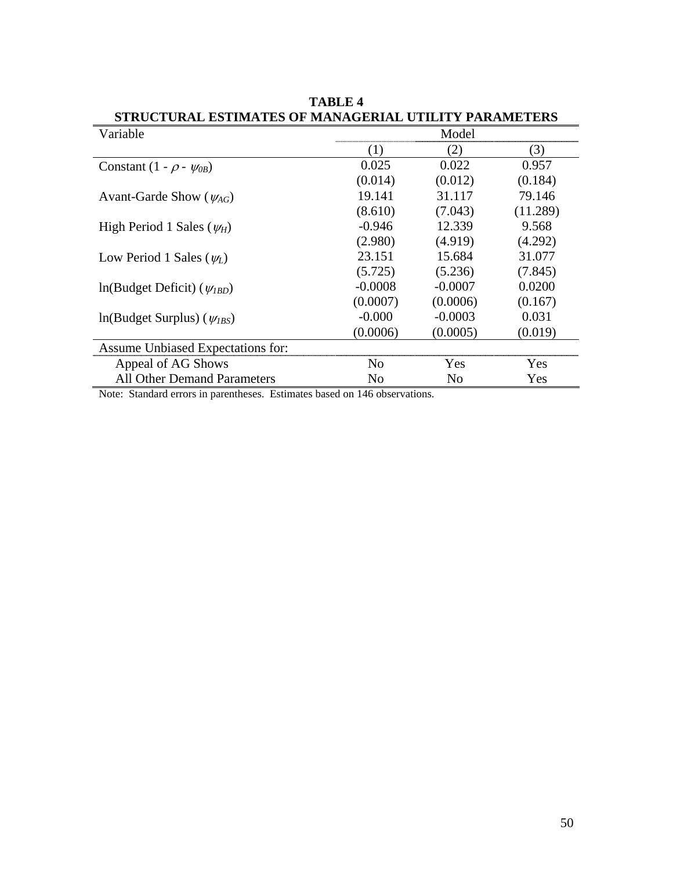| SIRUCTURAL ESTIMATES OF MANAGERIAL<br><b>FARAMDILKS</b> |                |           |          |  |
|---------------------------------------------------------|----------------|-----------|----------|--|
| Variable                                                | Model          |           |          |  |
|                                                         | (1)            | (2)       | (3)      |  |
| Constant $(1 - \rho - \psi_{0B})$                       | 0.025          | 0.022     | 0.957    |  |
|                                                         | (0.014)        | (0.012)   | (0.184)  |  |
| Avant-Garde Show ( $\psi_{AG}$ )                        | 19.141         | 31.117    | 79.146   |  |
|                                                         | (8.610)        | (7.043)   | (11.289) |  |
| High Period 1 Sales $(\psi_H)$                          | $-0.946$       | 12.339    | 9.568    |  |
|                                                         | (2.980)        | (4.919)   | (4.292)  |  |
| Low Period 1 Sales $(\psi_L)$                           | 23.151         | 15.684    | 31.077   |  |
|                                                         | (5.725)        | (5.236)   | (7.845)  |  |
| $ln(Budget Deficit)$ ( $\psi_{IBD}$ )                   | $-0.0008$      | $-0.0007$ | 0.0200   |  |
|                                                         | (0.0007)       | (0.0006)  | (0.167)  |  |
| $ln(Budget Surplus)$ ( $\psi_{IBS}$ )                   | $-0.000$       | $-0.0003$ | 0.031    |  |
|                                                         | (0.0006)       | (0.0005)  | (0.019)  |  |
| Assume Unbiased Expectations for:                       |                |           |          |  |
| Appeal of AG Shows                                      | N <sub>0</sub> | Yes       | Yes      |  |
| <b>All Other Demand Parameters</b>                      | No             | No        | Yes      |  |

**TABLE 4 STRUCTURAL ESTIMATES OF MANAGERIAL UTILITY PARAMETERS**

Note: Standard errors in parentheses. Estimates based on 146 observations.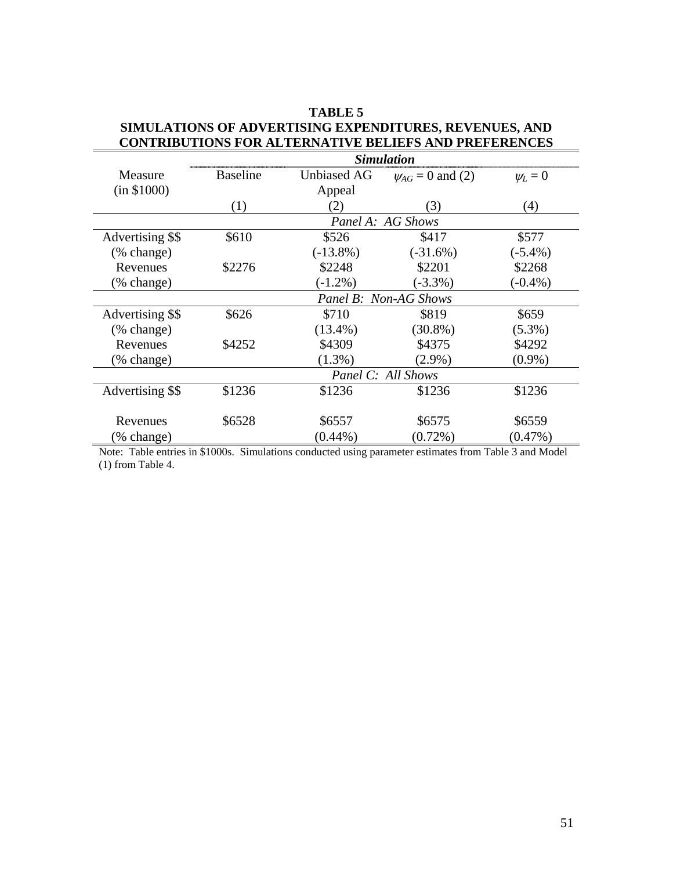|                       | <b>Simulation</b>     |                    |                         |              |  |
|-----------------------|-----------------------|--------------------|-------------------------|--------------|--|
| Measure               | <b>Baseline</b>       | <b>Unbiased AG</b> | $\psi_{AG} = 0$ and (2) | $\psi_L = 0$ |  |
| (in \$1000)           |                       | Appeal             |                         |              |  |
|                       | (1)                   | (2)                | (3)                     | (4)          |  |
|                       | Panel A: AG Shows     |                    |                         |              |  |
| Advertising \$\$      | \$610                 | \$526              | \$417                   | \$577        |  |
| (% change)            |                       | $(-13.8\%)$        | $(-31.6%)$              | $(-5.4\%)$   |  |
| Revenues              | \$2276                | \$2248             | \$2201                  | \$2268       |  |
| (% change)            |                       | $(-1.2\%)$         | $(-3.3\%)$              | $-0.4\%$ )   |  |
|                       | Panel B: Non-AG Shows |                    |                         |              |  |
| Advertising \$\$      | \$626                 | \$710              | \$819                   | \$659        |  |
| $(\% \text{ change})$ |                       | $(13.4\%)$         | $(30.8\%)$              | $(5.3\%)$    |  |
| Revenues              | \$4252                | \$4309             | \$4375                  | \$4292       |  |
| (% change)            |                       | $(1.3\%)$          | $(2.9\%)$               | $(0.9\%)$    |  |
|                       | Panel C: All Shows    |                    |                         |              |  |
| Advertising \$\$      | \$1236                | \$1236             | \$1236                  | \$1236       |  |
|                       |                       |                    |                         |              |  |
| Revenues              | \$6528                | \$6557             | \$6575                  | \$6559       |  |
| (% change)            |                       | $(0.44\%)$         | $(0.72\%)$              | $(0.47\%)$   |  |

# **TABLE 5 SIMULATIONS OF ADVERTISING EXPENDITURES, REVENUES, AND CONTRIBUTIONS FOR ALTERNATIVE BELIEFS AND PREFERENCES**

Note: Table entries in \$1000s. Simulations conducted using parameter estimates from Table 3 and Model (1) from Table 4.